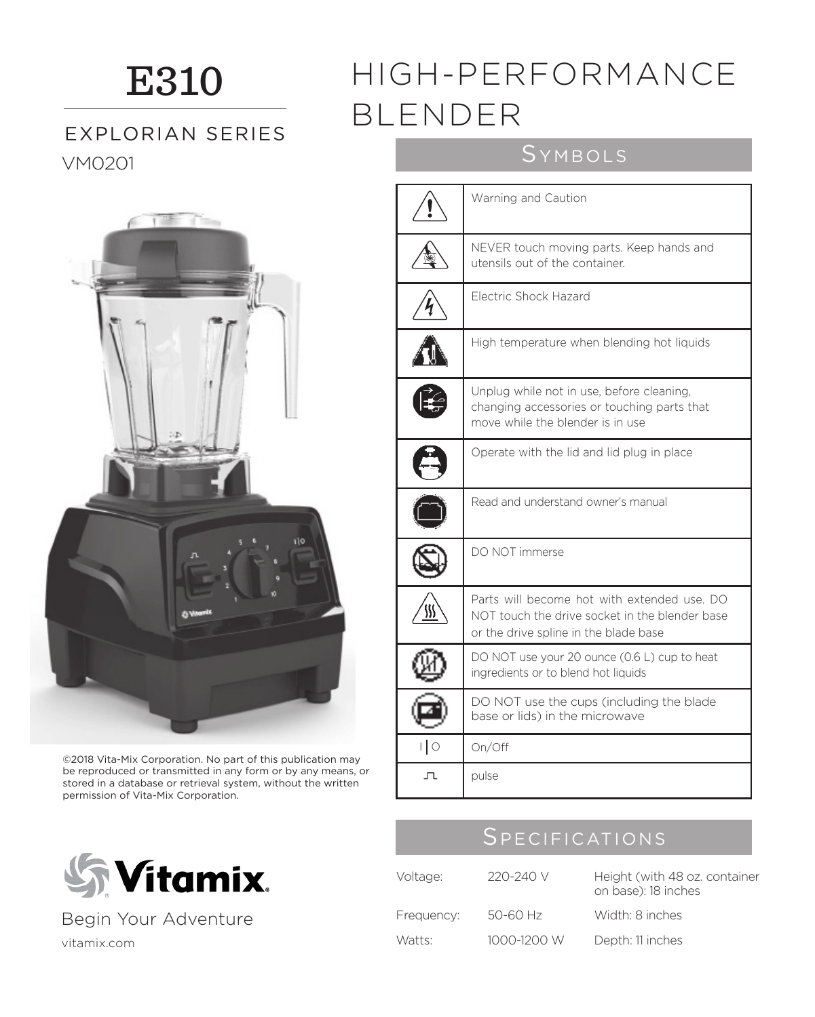## E310

## VM0201 SYMBOLS EXPLORIAN SERIES



©2018 Vita-Mix Corporation. No part of this publication may be reproduced or transmitted in any form or by any means, or stored in a database or retrieval system, without the written permission of Vita-Mix Corporation.



Begin Your Adventure

# High temperature when blending hot liquids

# Unplug while not in use, before cleaning, changing accessories or touching parts that move while the blender is in use

⅍

|        | Operate with the lid and lid plug in place                                                                                             |
|--------|----------------------------------------------------------------------------------------------------------------------------------------|
|        | Read and understand owner's manual                                                                                                     |
|        | DO NOT immerse                                                                                                                         |
|        | Parts will become hot with extended use. DO<br>NOT touch the drive socket in the blender base<br>or the drive spline in the blade base |
|        | DO NOT use your 20 ounce (0.6 L) cup to heat<br>ingredients or to blend hot liquids                                                    |
|        | DO NOT use the cups (including the blade<br>base or lids) in the microwave                                                             |
| ∣∣ o   | On/Off                                                                                                                                 |
| $\Box$ | pulse                                                                                                                                  |

## **SPECIFICATIONS**

| Voltage:   | 220-240 V   | Height (with 48 oz. container<br>on base): 18 inches |
|------------|-------------|------------------------------------------------------|
| Frequency: | 50-60 Hz    | Width: 8 inches                                      |
| Watts:     | 1000-1200 W | Depth: 11 inches                                     |

vitamix.com

## HIGH-PERFORMANCE BLENDER

Warning and Caution

Electric Shock Hazard

utensils out of the container.

NEVER touch moving parts. Keep hands and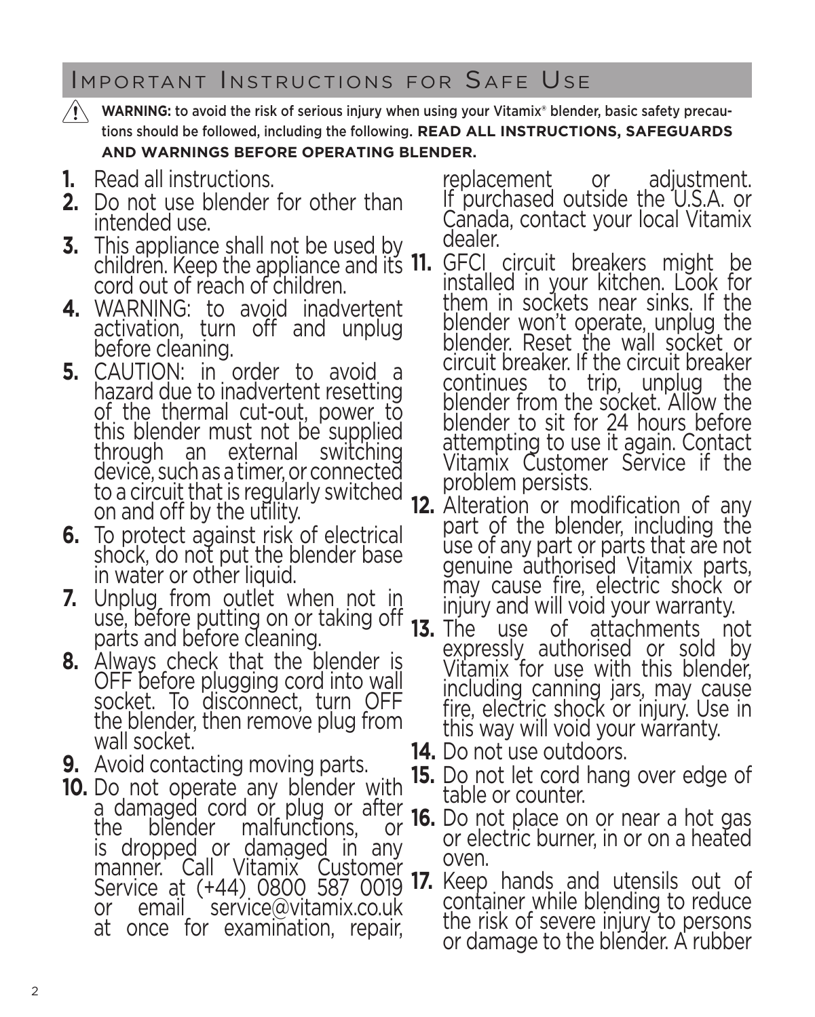Important Instructions for Safe Use

- **WARNING:** to avoid the risk of serious injury when using your Vitamix® blender, basic safety precautions should be followed, including the following. **READ ALL INSTRUCTIONS, SAFEGUARDS AND WARNINGS BEFORE OPERATING BLENDER.**
- **1.** Read all instructions.
- **2.** Do not use blender for other than intended use.
- **3.** This appliance shall not be used by children. Keep the appliance and its 11. cord out of reach of children.
- **4.** WARNING: to avoid inadvertent activation, turn off and unplug before cleaning.
- **5.** CAUTION: in order to avoid a hazard due to inadvertent resetting of the thermal cut-out, power to this blender must not be supplied<br>through an external switching an external switching device, such as a timer, or connected to a circuit that is regularly switched on and off by the utility.
- **6.** To protect against risk of electrical shock, do not put the blender base in water or other liquid.
- **7.** Unplug from outlet when not in use, before putting on or taking off parts and before cleaning.
- **8.** Always check that the blender is OFF before plugging cord into wall socket. To disconnect, turn OFF the blender, then remove plug from wall socket.
- **9.** Avoid contacting moving parts.
- **10.** Do not operate any blender with a damaged cord or plug or after the blender malfunctions, or is dropped or damaged in any manner. Call Vitamix Customer or email service@vitamix.co.uk at once for examination, repair,

replacement or adjustment. If purchased outside the U.S.A. or Canada, contact your local Vitamix dealer.

- **11.** GFCI circuit breakers might be installed in your kitchen. Look for them in sockets near sinks. If the blender won't operate, unplug the blender. Reset the wall socket or circuit breaker. If the circuit breaker continues to trip, unplug the blender from the socket. Allow the blender to sit for 24 hours before attempting to use it again. Contact Vitamix Customer Service if the problem persists.
- **12.** Alteration or modification of any part of the blender, including the use of any part or parts that are not genuine authorised Vitamix parts, may cause fire, electric shock or injury and will void your warranty.<br>**13.** The use of attachments no
	- **13.** The use of attachments not expressly authorised or sold by Vitamix for use with this blender, including canning jars, may cause fire, electric shock or injury. Use in this way will void your warranty.
- **14.** Do not use outdoors.
- **15.** Do not let cord hang over edge of table or counter.
- **16.** Do not place on or near a hot gas or electric burner, in or on a heated oven.
- Service at (+44) 0800 587 0019 **17.** Keep hands and utensils out of container while blending to reduce the risk of severe injury to persons or damage to the blender. A rubber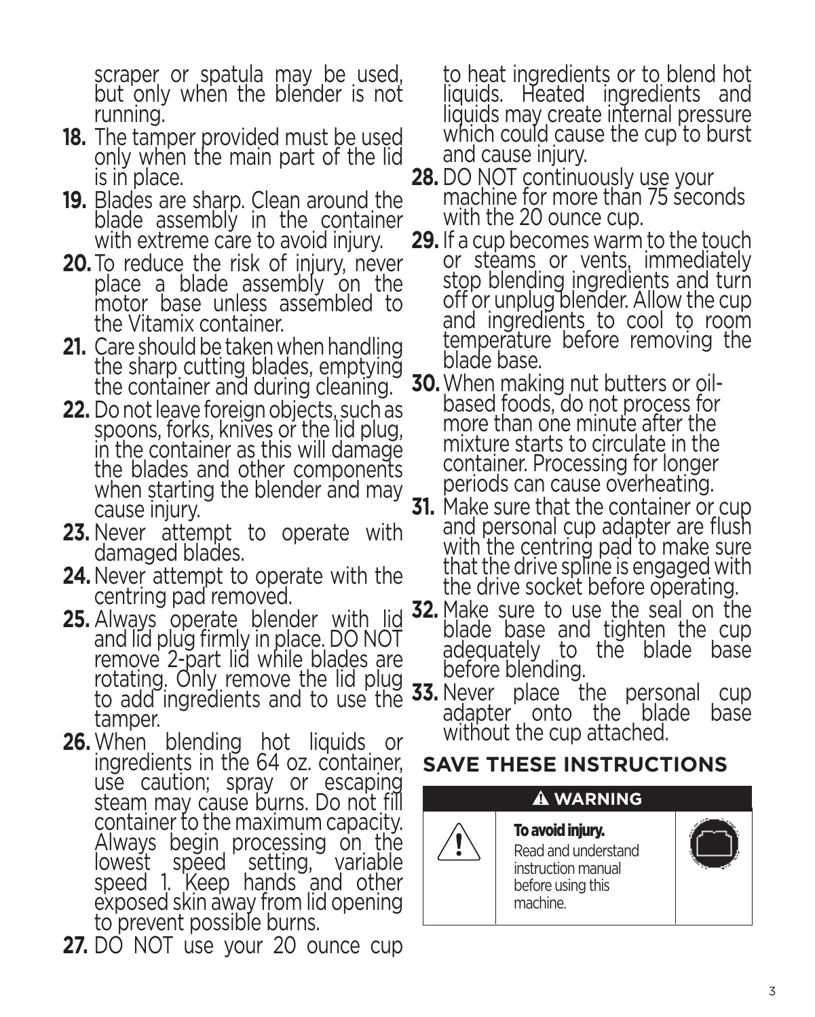scraper or spatula may be used, but only when the blender is not running.

- **18.** The tamper provided must be used only when the main part of the lid is in place.
- **19.** Blades are sharp. Clean around the blade assembly in the container with extreme care to avoid injury.
- **20.**To reduce the risk of injury, never place a blade assembly on the motor base unless assembled to the Vitamix container.
- **21.** Care should be taken when handling the sharp cutting blades, emptying the container and during cleaning.
- **22.** Do not leave foreign objects, such as spoons, forks, knives or the lid plug, in the container as this will damage the blades and other components when starting the blender and may cause injury.
- **23.** Never attempt to operate with damaged blades.
- **24.**Never attempt to operate with the centring pad removed.
- **25.** Always operate blender with lid and lid plug firmly in place. DO NOT remove 2-part lid while blades are rotating. Only remove the lid plug tamper.
- **26.**When blending hot liquids or ingredients in the 64 oz. container, use caution; spray or escaping steam may cause burns. Do not fill container to the maximum capacity. Always begin processing on the lowest speed setting, variable speed 1. Keep hands and other exposed skin away from lid opening to prevent possible burns.
- **27.** DO NOT use your 20 ounce cup

to heat ingredients or to blend hot liquids. Heated ingredients and liquids may create internal pressure which could cause the cup to burst and cause injury.

- **28.** DO NOT continuously use your machine for more than 75 seconds with the 20 ounce cup.
- **29.** If a cup becomes warm to the touch or steams or vents, immediately stop blending ingredients and turn off or unplug blender. Allow the cup and ingredients to cool to room temperature before removing the blade base.
- **30.**When making nut butters or oilbased foods, do not process for more than one minute after the mixture starts to circulate in the container. Processing for longer periods can cause overheating.
- **31.** Make sure that the container or cup and personal cup adapter are flush with the centring pad to make sure that the drive spline is engaged with the drive socket before operating.
- **32.** Make sure to use the seal on the blade base and tighten the cup adequately to the blade base before blending.
- to add ingredients and to use the **33.** Never place the personal cup adapter onto the blade base without the cup attached.

## **SAVE THESE INSTRUCTIONS**

## **WARNING** To avoid injury.

Read and understand instruction manual before using this machine.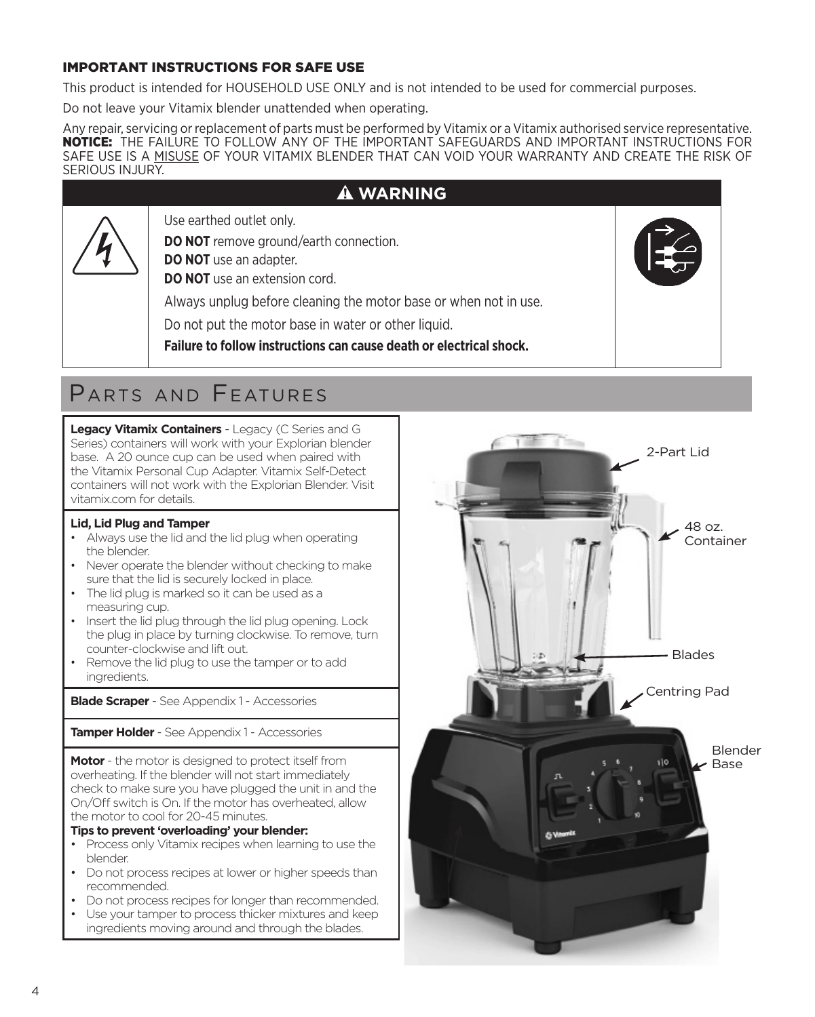### IMPORTANT INSTRUCTIONS FOR SAFE USE

This product is intended for HOUSEHOLD USE ONLY and is not intended to be used for commercial purposes.

Do not leave your Vitamix blender unattended when operating.

Any repair, servicing or replacement of parts must be performed by Vitamix or a Vitamix authorised service representative. NOTICE:THE FAILURE TO FOLLOW ANY OF THE IMPORTANT SAFEGUARDS AND IMPORTANT INSTRUCTIONS FOR SAFE USE IS A MISUSE OF YOUR VITAMIX BLENDER THAT CAN VOID YOUR WARRANTY AND CREATE THE RISK OF SERIOUS INJURY.

### $\hat{A}$  WARNING

Use earthed outlet only.

**DO NOT** remove ground/earth connection.

**DO NOT** use an adapter.

**DO NOT** use an extension cord.

Always unplug before cleaning the motor base or when not in use.

Do not put the motor base in water or other liquid.

**Failure to follow instructions can cause death or electrical shock.**

## Parts and Features

**Legacy Vitamix Containers** - Legacy (C Series and G Series) containers will work with your Explorian blender base. A 20 ounce cup can be used when paired with the Vitamix Personal Cup Adapter. Vitamix Self-Detect containers will not work with the Explorian Blender. Visit vitamix.com for details.

### **Lid, Lid Plug and Tamper**

- Always use the lid and the lid plug when operating the blender.
- Never operate the blender without checking to make sure that the lid is securely locked in place.
- The lid plug is marked so it can be used as a measuring cup.
- Insert the lid plug through the lid plug opening. Lock the plug in place by turning clockwise. To remove, turn counter-clockwise and lift out.
- Remove the lid plug to use the tamper or to add ingredients.

**Blade Scraper** - See Appendix 1 - Accessories

**Tamper Holder** - See Appendix 1 - Accessories

**Motor** - the motor is designed to protect itself from overheating. If the blender will not start immediately check to make sure you have plugged the unit in and the On/Off switch is On. If the motor has overheated, allow the motor to cool for 20-45 minutes.

**Tips to prevent 'overloading' your blender:**

- Process only Vitamix recipes when learning to use the blender.
- Do not process recipes at lower or higher speeds than recommended.
- Do not process recipes for longer than recommended.
- Use your tamper to process thicker mixtures and keep ingredients moving around and through the blades.

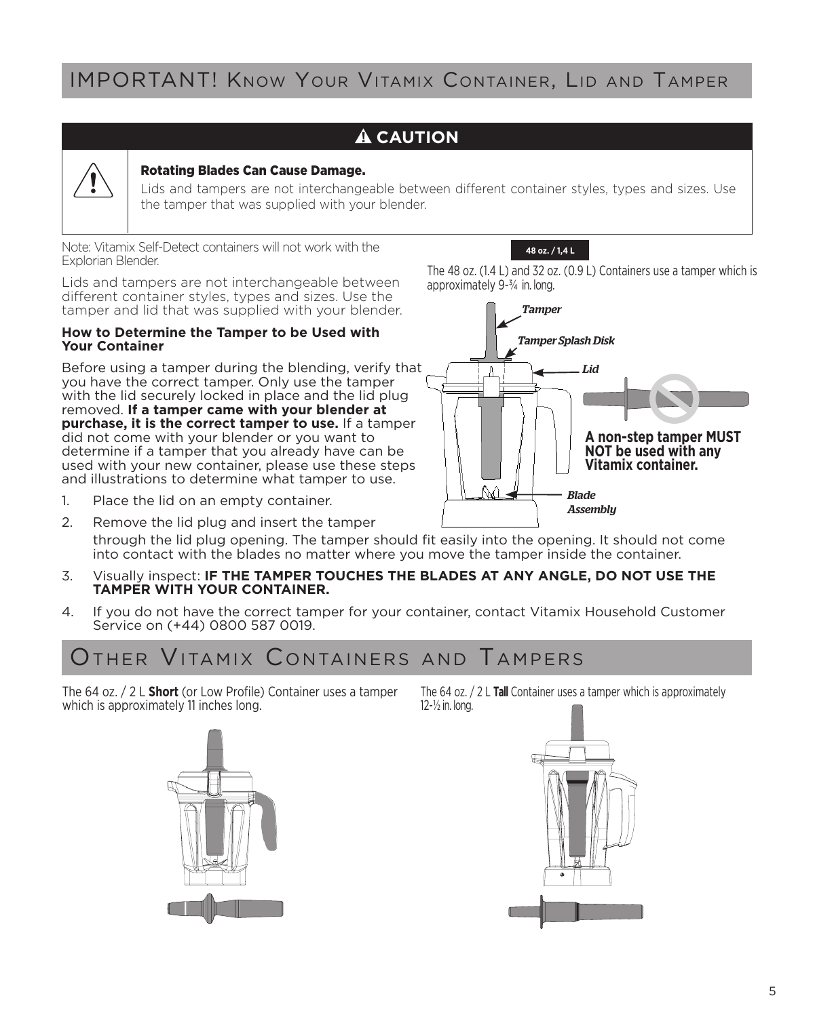## IMPORTANT! Know Your Vitamix Container, Lid and Tamper

### **A** CAUTION



### Rotating Blades Can Cause Damage.

Lids and tampers are not interchangeable between different container styles, types and sizes. Use the tamper that was supplied with your blender.

Note: Vitamix Self-Detect containers will not work with the Explorian Blender.

Lids and tampers are not interchangeable between different container styles, types and sizes. Use the tamper and lid that was supplied with your blender.

### **How to Determine the Tamper to be Used with Your Container**

Before using a tamper during the blending, verify that you have the correct tamper. Only use the tamper with the lid securely locked in place and the lid plug removed. **If a tamper came with your blender at purchase, it is the correct tamper to use.** If a tamper did not come with your blender or you want to determine if a tamper that you already have can be used with your new container, please use these steps and illustrations to determine what tamper to use.

- 1. Place the lid on an empty container.
- 2. Remove the lid plug and insert the tamper through the lid plug opening. The tamper should fit easily into the opening. It should not come into contact with the blades no matter where you move the tamper inside the container.
- 3. Visually inspect: **IF THE TAMPER TOUCHES THE BLADES AT ANY ANGLE, DO NOT USE THE TAMPER WITH YOUR CONTAINER.**
- 4. If you do not have the correct tamper for your container, contact Vitamix Household Customer Service on (+44) 0800 587 0019.

## OTHER VITAMIX CONTAINERS AND TAMPERS

The 64 oz. / 2 L **Short** (or Low Profile) Container uses a tamper which is approximately 11 inches long.



The 64 oz. / 2 L **Tall** Container uses a tamper which is approximately 12-½ in. long.





*Blade Assembly*

**NOT be used with any Vitamix container.**

The 48 oz. (1.4 L) and 32 oz. (0.9 L) Containers use a tamper which is approximately 9-¾ in. long.

**48 oz. / 1,4 L**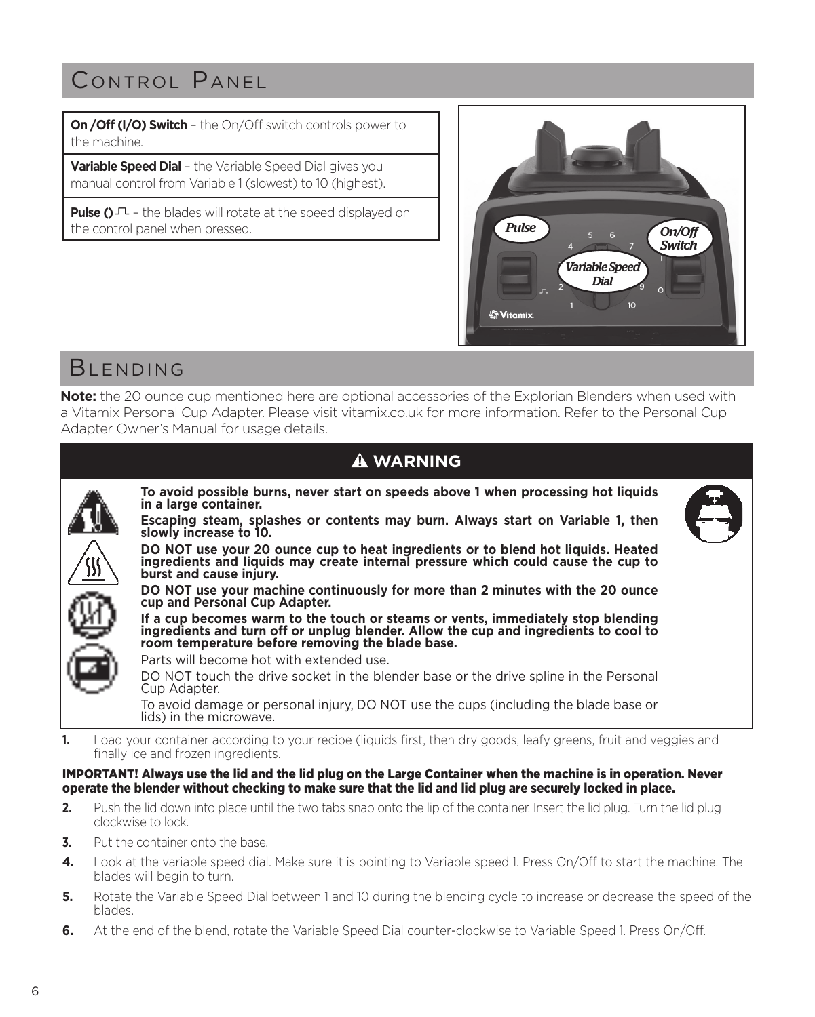## CONTROL PANEL

**On /Off (I/O) Switch** – the On/Off switch controls power to the machine.

**Variable Speed Dial** – the Variable Speed Dial gives you manual control from Variable 1 (slowest) to 10 (highest).

Pulse () $\Gamma$  - the blades will rotate at the speed displayed on the control panel when pressed.



## **BIFNDING**

**Note:** the 20 ounce cup mentioned here are optional accessories of the Explorian Blenders when used with a Vitamix Personal Cup Adapter. Please visit vitamix.co.uk for more information. Refer to the Personal Cup Adapter Owner's Manual for usage details.

| <b>A WARNING</b>                                                                                                                                                                                                             |                                                                                 |
|------------------------------------------------------------------------------------------------------------------------------------------------------------------------------------------------------------------------------|---------------------------------------------------------------------------------|
| To avoid possible burns, never start on speeds above 1 when processing hot liquids<br>in a large container.                                                                                                                  |                                                                                 |
| slowly increase to 10.                                                                                                                                                                                                       |                                                                                 |
| DO NOT use your 20 ounce cup to heat ingredients or to blend hot liquids. Heated<br>ingredients and liquids may create internal pressure which could cause the cup to<br>burst and cause injury.                             |                                                                                 |
| DO NOT use your machine continuously for more than 2 minutes with the 20 ounce<br>cup and Personal Cup Adapter.                                                                                                              |                                                                                 |
| If a cup becomes warm to the touch or steams or vents, immediately stop blending<br>ingredients and turn off or unplug blender. Allow the cup and ingredients to cool to<br>room temperature before removing the blade base. |                                                                                 |
| Parts will become hot with extended use.                                                                                                                                                                                     |                                                                                 |
| DO NOT touch the drive socket in the blender base or the drive spline in the Personal<br>Cup Adapter.                                                                                                                        |                                                                                 |
| To avoid damage or personal injury, DO NOT use the cups (including the blade base or<br>lids) in the microwave.                                                                                                              |                                                                                 |
|                                                                                                                                                                                                                              | Escaping steam, splashes or contents may burn. Always start on Variable 1, then |

**1.** Load your container according to your recipe (liquids first, then dry goods, leafy greens, fruit and veggies and finally ice and frozen ingredients.

### IMPORTANT! Always use the lid and the lid plug on the Large Container when the machine is in operation. Never operate the blender without checking to make sure that the lid and lid plug are securely locked in place.

- **2.** Push the lid down into place until the two tabs snap onto the lip of the container. Insert the lid plug. Turn the lid plug clockwise to lock.
- **3.** Put the container onto the base.
- **4.** Look at the variable speed dial. Make sure it is pointing to Variable speed 1. Press On/Off to start the machine. The blades will begin to turn.
- **5.** Rotate the Variable Speed Dial between 1 and 10 during the blending cycle to increase or decrease the speed of the blades.
- **6.** At the end of the blend, rotate the Variable Speed Dial counter-clockwise to Variable Speed 1. Press On/Off.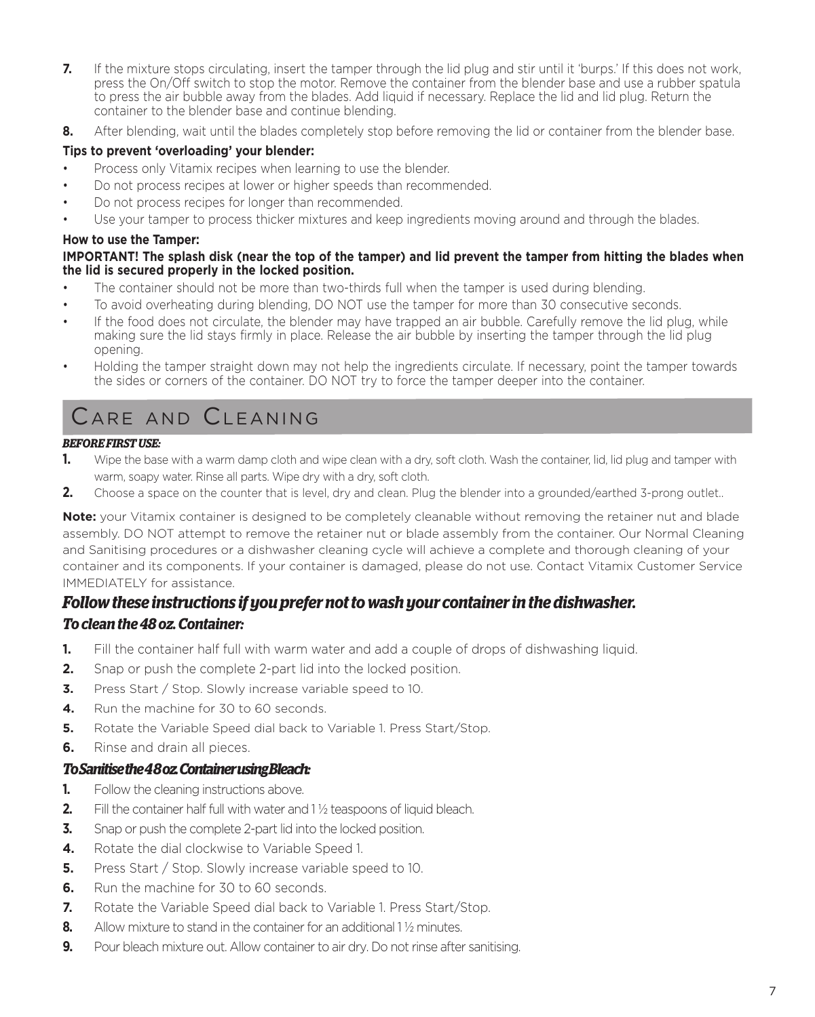- **7.** If the mixture stops circulating, insert the tamper through the lid plug and stir until it 'burps.' If this does not work, press the On/Off switch to stop the motor. Remove the container from the blender base and use a rubber spatula to press the air bubble away from the blades. Add liquid if necessary. Replace the lid and lid plug. Return the container to the blender base and continue blending.
- **8.** After blending, wait until the blades completely stop before removing the lid or container from the blender base.

### **Tips to prevent 'overloading' your blender:**

- Process only Vitamix recipes when learning to use the blender.
- Do not process recipes at lower or higher speeds than recommended.
- Do not process recipes for longer than recommended.
- Use your tamper to process thicker mixtures and keep ingredients moving around and through the blades.

### **How to use the Tamper:**

### **IMPORTANT! The splash disk (near the top of the tamper) and lid prevent the tamper from hitting the blades when the lid is secured properly in the locked position.**

- The container should not be more than two-thirds full when the tamper is used during blending.
- To avoid overheating during blending, DO NOT use the tamper for more than 30 consecutive seconds.
- If the food does not circulate, the blender may have trapped an air bubble. Carefully remove the lid plug, while making sure the lid stays firmly in place. Release the air bubble by inserting the tamper through the lid plug opening.
- Holding the tamper straight down may not help the ingredients circulate. If necessary, point the tamper towards the sides or corners of the container. DO NOT try to force the tamper deeper into the container.

## Care and Cleaning

### *BEFORE FIRST USE:*

- **1.** Wipe the base with a warm damp cloth and wipe clean with a dry, soft cloth. Wash the container, lid, lid plug and tamper with warm, soapy water. Rinse all parts. Wipe dry with a dry, soft cloth.
- **2.** Choose a space on the counter that is level, dry and clean. Plug the blender into a grounded/earthed 3-prong outlet..

**Note:** your Vitamix container is designed to be completely cleanable without removing the retainer nut and blade assembly. DO NOT attempt to remove the retainer nut or blade assembly from the container. Our Normal Cleaning and Sanitising procedures or a dishwasher cleaning cycle will achieve a complete and thorough cleaning of your container and its components. If your container is damaged, please do not use. Contact Vitamix Customer Service IMMEDIATELY for assistance.

## *Follow these instructions if you prefer not to wash your container in the dishwasher.*

### *To clean the 48 oz. Container:*

- **1.** Fill the container half full with warm water and add a couple of drops of dishwashing liquid.
- **2.** Snap or push the complete 2-part lid into the locked position.
- **3.** Press Start / Stop. Slowly increase variable speed to 10.
- **4.** Run the machine for 30 to 60 seconds.
- **5.** Rotate the Variable Speed dial back to Variable 1. Press Start/Stop.
- **6.** Rinse and drain all pieces.

### *To Sanitise the 4 8 oz. Container using Bleach:*

- **1.** Follow the cleaning instructions above.
- **2.** Fill the container half full with water and 1% teaspoons of liquid bleach.
- **3.** Snap or push the complete 2-part lid into the locked position.
- **4.** Rotate the dial clockwise to Variable Speed 1.
- **5.** Press Start / Stop. Slowly increase variable speed to 10.
- **6.** Run the machine for 30 to 60 seconds.
- **7.** Rotate the Variable Speed dial back to Variable 1. Press Start/Stop.
- **8.** Allow mixture to stand in the container for an additional 1<sup>1</sup>/<sub>2</sub> minutes.
- **9.** Pour bleach mixture out. Allow container to air dry. Do not rinse after sanitising.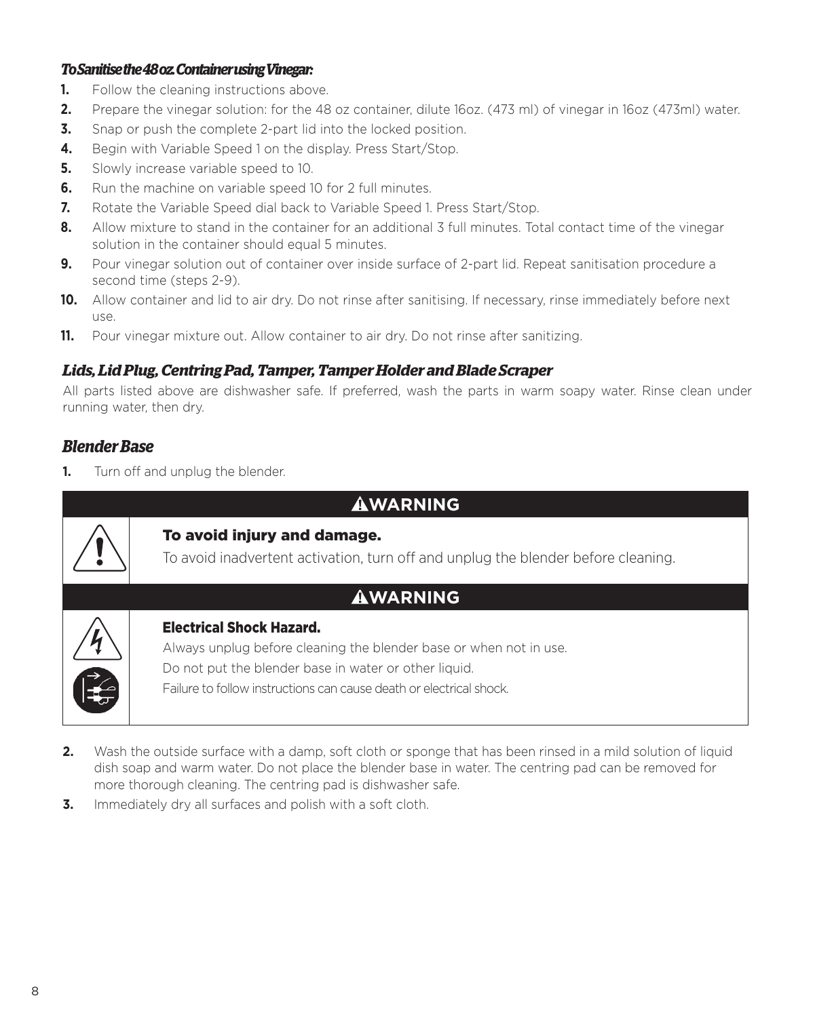### *To Sanitise the 48 oz. Container using Vinegar:*

- **1.** Follow the cleaning instructions above.
- **2.** Prepare the vinegar solution: for the 48 oz container, dilute 16oz. (473 ml) of vinegar in 16oz (473ml) water.
- **3.** Snap or push the complete 2-part lid into the locked position.
- **4.** Begin with Variable Speed 1 on the display. Press Start/Stop.
- **5.** Slowly increase variable speed to 10.
- **6.** Run the machine on variable speed 10 for 2 full minutes.
- **7.** Rotate the Variable Speed dial back to Variable Speed 1. Press Start/Stop.
- **8.** Allow mixture to stand in the container for an additional 3 full minutes. Total contact time of the vinegar solution in the container should equal 5 minutes.
- **9.** Pour vinegar solution out of container over inside surface of 2-part lid. Repeat sanitisation procedure a second time (steps 2-9).
- **10.** Allow container and lid to air dry. Do not rinse after sanitising. If necessary, rinse immediately before next use.
- **11.** Pour vinegar mixture out. Allow container to air dry. Do not rinse after sanitizing.

### *Lids, Lid Plug, Centring Pad, Tamper, Tamper Holder and Blade Scraper*

All parts listed above are dishwasher safe. If preferred, wash the parts in warm soapy water. Rinse clean under running water, then dry.

### *Blender Base*

**1.** Turn off and unplug the blender.

| <b>AWARNING</b> |
|-----------------|
|-----------------|



### To avoid injury and damage.

To avoid inadvertent activation, turn off and unplug the blender before cleaning.



### Electrical Shock Hazard.

Always unplug before cleaning the blender base or when not in use. Do not put the blender base in water or other liquid. Failure to follow instructions can cause death or electrical shock.

- **2.** Wash the outside surface with a damp, soft cloth or sponge that has been rinsed in a mild solution of liquid dish soap and warm water. Do not place the blender base in water. The centring pad can be removed for more thorough cleaning. The centring pad is dishwasher safe.
- **3.** Immediately dry all surfaces and polish with a soft cloth.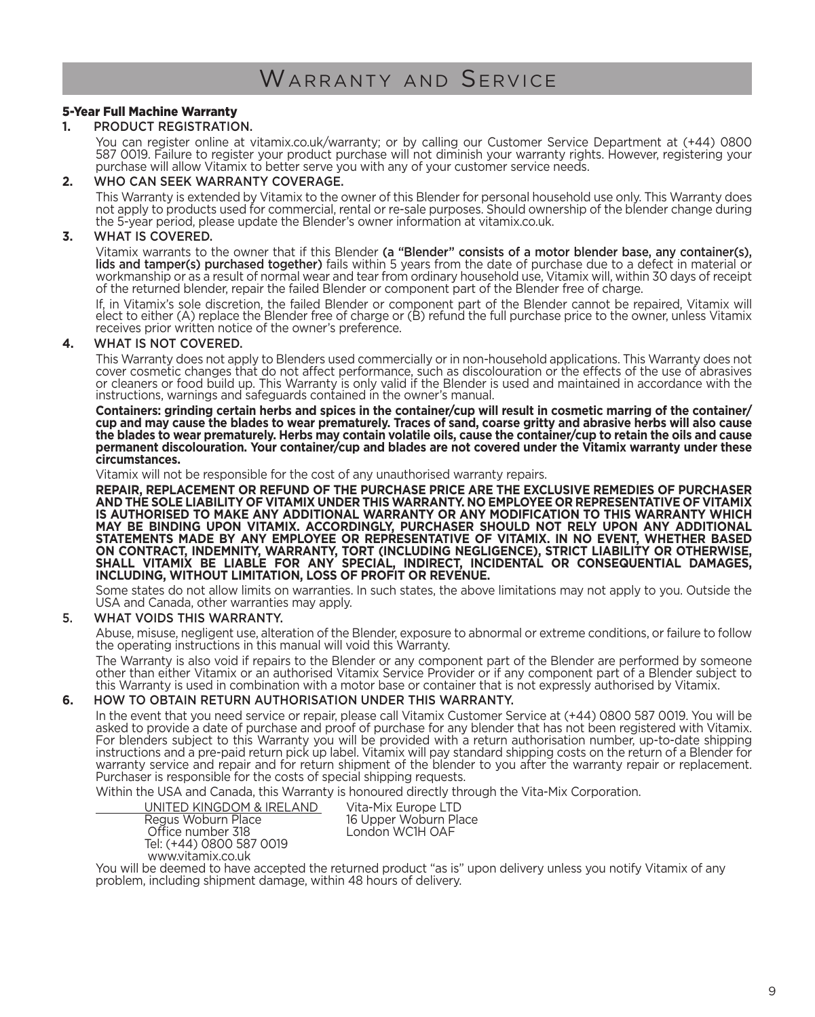## WARRANTY AND SERVICE

### 5-Year Full Machine Warranty

### **1.** PRODUCT REGISTRATION.

You can register online at vitamix.co.uk/warranty; or by calling our Customer Service Department at (+44) 0800<br>587 0019. Failure to register your product purchase will not diminish your warranty rights. However, registerin purchase will allow Vitamix to better serve you with any of your customer service needs.

### **2.** WHO CAN SEEK WARRANTY COVERAGE.

This Warranty is extended by Vitamix to the owner of this Blender for personal household use only. This Warranty does not apply to products used for commercial, rental or re-sale purposes. Should ownership of the blender change during the 5-year period, please update the Blender's owner information at vitamix.co.uk.

### **3.** WHAT IS COVERED.

Vitamix warrants to the owner that if this Blender (a "Blender" consists of a motor blender base, any container(s), lids and tamper(s) purchased together) fails within 5 years from the date of purchase due to a defect in material or workmanship or as a result of normal wear and tear from ordinary household use, Vitamix will, within 30 days of receipt of the returned blender, repair the failed Blender or component part of the Blender free of charge.

If, in Vitamix's sole discretion, the failed Blender or component part of the Blender cannot be repaired, Vitamix will elect to either (A) replace the Blender free of charge or (B) refund the full purchase price to the owner, unless Vitamix receives prior written notice of the owner's preference.

#### **4.** WHAT IS NOT COVERED.

This Warranty does not apply to Blenders used commercially or in non-household applications. This Warranty does not cover cosmetic changes that do not affect performance, such as discolouration or the effects of the use of abrasives or cleaners or food build up. This Warranty is only valid if the Blender is used and maintained in accordance with the instructions, warnings and safeguards contained in the owner's manual.

**Containers: grinding certain herbs and spices in the container/cup will result in cosmetic marring of the container/ cup and may cause the blades to wear prematurely. Traces of sand, coarse gritty and abrasive herbs will also cause the blades to wear prematurely. Herbs may contain volatile oils, cause the container/cup to retain the oils and cause permanent discolouration. Your container/cup and blades are not covered under the Vitamix warranty under these circumstances.**

Vitamix will not be responsible for the cost of any unauthorised warranty repairs.

**REPAIR, REPLACEMENT OR REFUND OF THE PURCHASE PRICE ARE THE EXCLUSIVE REMEDIES OF PURCHASER**  AND THE SOLE LIABILITY OF VITAMIX UNDER THIS WARRANTY. NO EMPLOYEE OR REPRESENTATIVE OF VITAMIX<br>IS AUTHORISED TO MAKE ANY ADDITIONAL WARRANTY OR ANY MODIFICATION TO THIS WARRANTY WHICH<br>MAY BE BINDING UPON VITAMIX. ACCORDI STATEMENTS MADE BY ANY EMPLOYEE OR REPRESENTATIVE OF VITAMIX. IN NO EVENT, WHETHER BASED<br>ON CONTRACT, INDEMNITY, WARRANTY, TORT (INCLUDING NEGLIGENCE), STRICT LIABILITY OR OTHERWISE,<br>SHALL VITAMIX BE LIABLE FOR ANY SP

Some states do not allow limits on warranties. In such states, the above limitations may not apply to you. Outside the USA and Canada, other warranties may apply.

### 5. WHAT VOIDS THIS WARRANTY.

Abuse, misuse, negligent use, alteration of the Blender, exposure to abnormal or extreme conditions, or failure to follow the operating instructions in this manual will void this Warranty.

The Warranty is also void if repairs to the Blender or any component part of the Blender are performed by someone other than either Vitamix or an authorised Vitamix Service Provider or if any component part of a Blender subject to this Warranty is used in combination with a motor base or container that is not expressly authorised by Vitamix.

#### **6.** HOW TO OBTAIN RETURN AUTHORISATION UNDER THIS WARRANTY.

In the event that you need service or repair, please call Vitamix Customer Service at (+44) 0800 587 0019. You will be asked to provide a date of purchase and proof of purchase for any blender that has not been registered with Vitamix. For blenders subject to this Warranty you will be provided with a return authorisation number, up-to-date shipping instructions and a pre-paid return pick up label. Vitamix will pay standard shipping costs on the return of a Blender for<br>warranty service and repair and for return shipment of the blender to you after the warranty repair Purchaser is responsible for the costs of special shipping requests.

Within the USA and Canada, this Warranty is honoured directly through the Vita-Mix Corporation.

UNITED KINGDOM & IRELAND Vita-Mix Europe LTD<br>Regus Woburn Place 16 Upper Woburn Pla Office number 318 Tel: (+44) 0800 587 0019 www.vitamix.co.uk

16 Upper Woburn Place<br>1 ondon WC1H OAF

You will be deemed to have accepted the returned product "as is" upon delivery unless you notify Vitamix of any problem, including shipment damage, within 48 hours of delivery.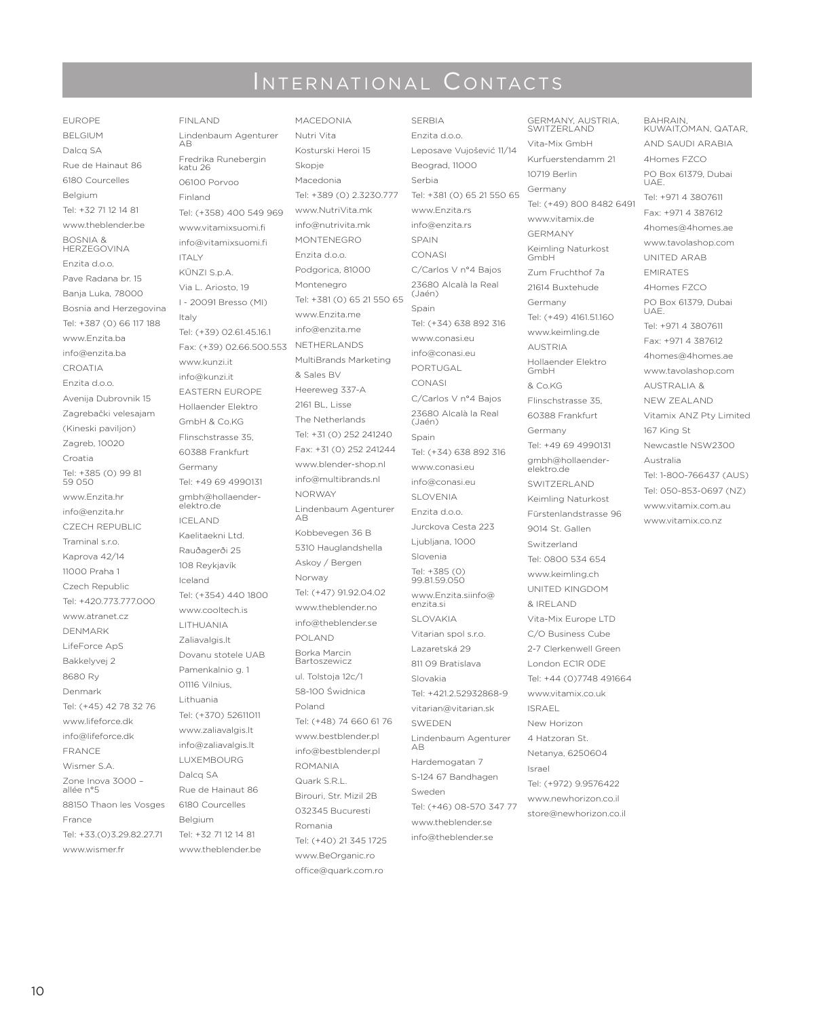## INTERNATIONAL CONTACTS

EUROPE BELGIUM Dalcq SA Rue de Hainaut 86 6180 Courcelles Belgium Tel: +32 71 12 14 81 www.theblender.be BOSNIA & HERZEGOVINA Enzita d.o.o. Pave Radana br. 15 Banja Luka, 78000 Bosnia and Herzegovina Tel: +387 (0) 66 117 188 www.Enzita.ba info@enzita.ba CROATIA Enzita d.o.o. Avenija Dubrovnik 15 Zagrebački velesajam (Kineski paviljon) Zagreb, 10020 Croatia Tel: +385 (0) 99 81 59 050 www.Enzita.hr info@enzita.hr CZECH REPUBLIC Traminal s.r.o. Kaprova 42/14 11000 Praha 1 Czech Republic Tel: +420.773.777.000 www.atranet.cz DENMARK LifeForce ApS Bakkelyvej 2 8680 Ry Denmark Tel: (+45) 42 78 32 76 www.lifeforce.dk info@lifeforce.dk FRANCE Wismer S.A. Zone Inova 3000 – allée n°5 88150 Thaon les Vosges France Tel: +33.(0)3.29.82.27.71 www.wismer.fr

FINLAND Lindenbaum Agenturer AB Fredrika Runebergin katu 26 06100 Porvoo Finland Tel: (+358) 400 549 969 www.vitamixsuomi.fi info@vitamixsuomi.fi ITALY KÜNZI S.p.A. Via L. Ariosto, 19 I - 20091 Bresso (MI) Italy Tel: (+39) 02.61.45.16.1 Fax: (+39) 02.66.500.553 www.kunzi.it info@kunzi.it EASTERN EUROPE Hollaender Elektro GmbH & Co.KG Flinschstrasse 35, 60388 Frankfurt Germany Tel: +49 69 4990131 gmbh@hollaenderelektro.de ICELAND Kaelitaekni Ltd. Rauðagerði 25 108 Reykjavík Iceland Tel: (+354) 440 1800 www.cooltech.is LITHUANIA Zaliavalgis.lt Dovanu stotele UAB Pamenkalnio g. 1 01116 Vilnius, Lithuania Tel: (+370) 52611011 www.zaliavalgis.lt info@zaliavalgis.lt LUXEMBOURG Dalcq SA Rue de Hainaut 86 6180 Courcelles Belgium Tel: +32 71 12 14 81 www.theblender.be

MACEDONIA Nutri Vita Kosturski Heroi 15 Skopje Macedonia Tel: +389 (0) 2.3230.777 www.NutriVita.mk info@nutrivita.mk **MONTENEGRO** Enzita d.o.o. Podgorica, 81000 Montenegro Tel: +381 (0) 65 21 550 65 www.Enzita.me info@enzita.me NETHERLANDS MultiBrands Marketing & Sales BV Heereweg 337-A 2161 BL, Lisse The Netherlands Tel: +31 (0) 252 241240 Fax: +31 (0) 252 241244 www.blender-shop.nl info@multibrands.nl NORWAY Lindenbaum Agenturer AB Kobbevegen 36 B 5310 Hauglandshella Askoy / Bergen Norway Tel: (+47) 91.92.04.02 www.theblender.no info@theblender.se POLAND Borka Marcin Bartoszewicz ul. Tolstoja 12c/1 58-100 Świdnica Poland Tel: (+48) 74 660 61 76 www.bestblender.pl info@bestblender.pl ROMANIA Quark S.R.L. Birouri, Str. Mizil 2B 032345 Bucuresti Romania Tel: (+40) 21 345 1725 www.BeOrganic.ro office@quark.com.ro

SERBIA Enzita d.o.o. Leposave Vujošević 11/14 Beograd, 11000 Serbia Tel: +381 (0) 65 21 550 65 www.Enzita.rs info@enzita.rs SPAIN CONASI C/Carlos V n°4 Bajos 23680 Alcalà la Real (Jaén) Spain Tel: (+34) 638 892 316 www.conasi.eu info@conasi.eu PORTUGAL CONASI C/Carlos V n°4 Bajos 23680 Alcalà la Real (Jaén) Spain Tel: (+34) 638 892 316 www.conasi.eu info@conasi.eu SLOVENIA Enzita d.o.o. Jurckova Cesta 223 Ljubljana, 1000 Slovenia Tel: +385 (0) 99.81.59.050 www.Enzita.siinfo@ enzita.si SLOVAKIA Vitarian spol s.r.o. Lazaretská 29 811 09 Bratislava Slovakia Tel: +421.2.52932868-9 vitarian@vitarian.sk SWEDEN Lindenbaum Agenturer AB Hardemogatan 7 S-124 67 Bandhagen Sweden Tel: (+46) 08-570 347 77 www.theblender.se info@theblender.se

10719 Berlin Germany Tel: (+49) 800 8482 6491 www.vitamix.de GERMANY Keimling Naturkost GmbH Zum Fruchthof 7a 21614 Buxtehude Germany Tel: (+49) 4161.51.160 www.keimling.de AUSTRIA Hollaender Elektro GmbH & Co.KG Flinschstrasse 35, 60388 Frankfurt Germany Tel: +49 69 4990131 gmbh@hollaenderelektro.de SWITZERLAND Keimling Naturkost Fürstenlandstrasse 96 9014 St. Gallen Switzerland Tel: 0800 534 654 www.keimling.ch UNITED KINGDOM & IRELAND Vita-Mix Europe LTD C/O Business Cube 2-7 Clerkenwell Green London EC1R 0DE Tel: +44 (0)7748 491664 www.vitamix.co.uk ISRAEL New Horizon 4 Hatzoran St. Netanya, 6250604 Israel Tel: (+972) 9.9576422 www.newhorizon.co.il store@newhorizon.co.il

GERMANY, AUSTRIA, SWITZERLAND Vita-Mix GmbH Kurfuerstendamm 21

BAHRAIN, KUWAIT,OMAN, QATAR, AND SAUDI ARABIA 4Homes FZCO PO Box 61379, Dubai UAE. Tel: +971 4 3807611 Fax: +971 4 387612 4homes@4homes.ae www.tavolashop.com UNITED ARAB EMIRATES 4Homes FZCO PO Box 61379, Dubai UAE. Tel: +971 4 3807611 Fax: +971 4 387612 4homes@4homes.ae www.tavolashop.com AUSTRALIA & NEW ZEALAND Vitamix ANZ Pty Limited 167 King St Newcastle NSW2300 Australia Tel: 1-800-766437 (AUS) Tel: 050-853-0697 (NZ) www.vitamix.com.au www.vitamix.co.nz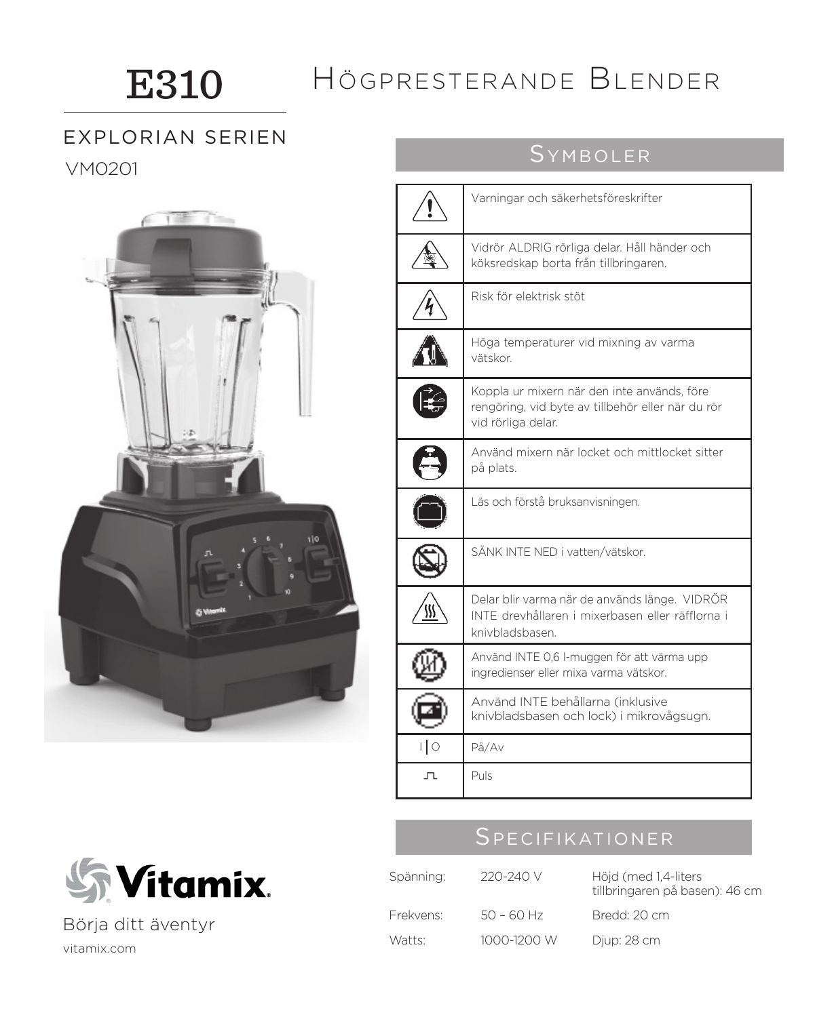## E310

## Högpresterande Blender

## VM0201 Symboler EXPLORIAN SERIEN

 $1.722$ i Tan

|      | Varningar och säkerhetsföreskrifter                                                                                    |
|------|------------------------------------------------------------------------------------------------------------------------|
|      | Vidrör ALDRIG rörliga delar. Håll händer och<br>köksredskap borta från tillbringaren.                                  |
|      | Risk för elektrisk stöt                                                                                                |
|      | Höga temperaturer vid mixning av varma<br>vätskor.                                                                     |
|      | Koppla ur mixern när den inte används, före<br>rengöring, vid byte av tillbehör eller när du rör<br>vid rörliga delar. |
|      | Använd mixern när locket och mittlocket sitter<br>på plats.                                                            |
|      | Läs och förstå bruksanvisningen.                                                                                       |
|      | SÄNK INTE NED i vatten/vätskor.                                                                                        |
|      | Delar blir varma när de används länge. VIDRÖR<br>INTE drevhållaren i mixerbasen eller räfflorna i<br>knivbladsbasen    |
|      | Använd INTE 0,6 I-muggen för att värma upp<br>ingredienser eller mixa varma vätskor.                                   |
|      | Använd INTE behållarna (inklusive<br>knivbladsbasen och lock) i mikrovågsugn.                                          |
| ∣∣ o | På/Av                                                                                                                  |
| 고    | Puls                                                                                                                   |

## Specifikationer

| Spänning: | 220-240 V    | Höjd (med 1,4-liters<br>tillbringaren på basen): 46 cm |
|-----------|--------------|--------------------------------------------------------|
| Frekvens: | $50 - 60$ Hz | Bredd: 20 cm                                           |
| Watts:    | 1000-1200 W  | Djup: 28 cm                                            |



Börja ditt äventyr

### vitamix.com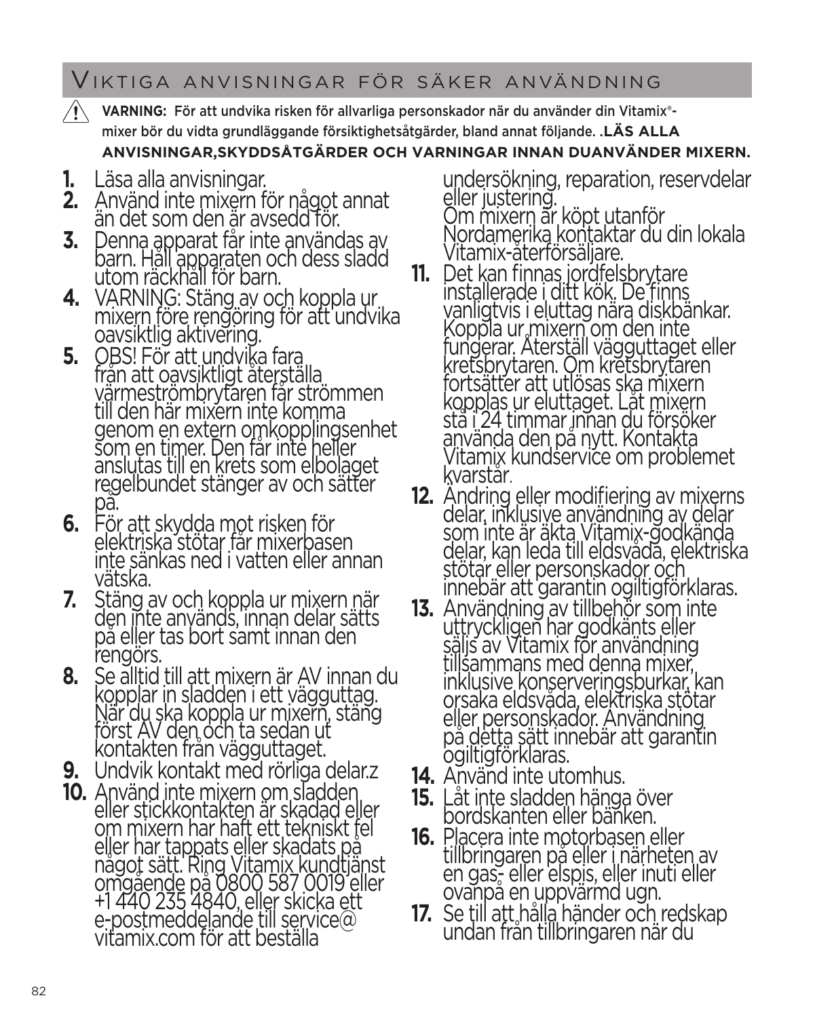## Viktiga anvisningar för säker användning

- **VARNING:** För att undvika risken för allvarliga personskador när du använder din Vitamix® mixer bör du vidta grundläggande försiktighetsåtgärder, bland annat följande. .**LÄS ALLA ANVISNINGAR,SKYDDSÅTGÄRDER OCH VARNINGAR INNAN DUANVÄNDER MIXERN.**
- **1.** Läsa alla anvisningar.
- **2.** Använd inte mixern för något annat än det som den är avsedd för.
- **3.** Denna apparat får inte användas av barn. Håll apparaten och dess sladd utom räckhåll för barn.
- **4.** VARNING: Stäng av och koppla ur mixern före rengöring för att undvika oavsiktlig aktivering.<br>OBS! För att undvika fara
- **5.** OBS! För att undvika fara<br>från att oavsiktligt återställa<br>värmeströmbrytaren får strömmen till den här mixern inte komma<br>genom en extern omkopplingsenhet som en timer. Den får inte heller anslutas till en krets som elbolaget regelbundet stänger av och sätter<br>på.<br>6. För att skydda mot risken för
- **6.** För att skydda mot risken för elektriska stötar får mixerbasen inte sänkas ned i vatten eller annan vätska.
- **7.** Stäng av och koppla ur mixern när på eller tas bort sämt innan den rengörs.
- **8.** Se alltid till att mixern är AV innan du kopplar in sladden i ett vägguttag. När du ska koppla ur mixern, stäng först AV den och ta sedan ut<br>kontakten från vägguttaget.
- **9.** Undvik kontakt med rörliga delar.z
- **10.** Använd inte mixern om sladden eller stickkontakten är skadad eller om mixern har haft ett tekniskt fel<br>eller har tappats eller skadats på<br>något sätt. Ring Vitamix kundtjänst<br>omgående på 0800 587 0019 eller +1 440 235 4840, eller skicka ett e-postmeddelande till service@ vitamix.com för att beställa

undersökning, reparation, reservdelar eller justering. Om mixern är köpt utanför Nordamerika kontaktar du din lokala<br>Vitamix-återförsäljare.

- **11.** Det kan finnas jordfelsbrytare installerade i ditt kök. De finns vanligtvis i eluttag nära diskbänkar. Koppla ur mixern om den inte fungerar. Återställ vägguttaget eller kretsbrytaren. Om kretsbrytaren fortsätter att utlösas ska mixern<br>kopplas ur eluttaget. Låt mixern<br>stå i 24 timmar innan du försöker<br>använda den på nytt. Kontakta Vitamix kundservice om problemet<br>kvarstår.
- **12.** Ändring eller modifiering av mixerns delar, inklusive användning av delar som inte är äkta Vitamix-godkända delar, kan leda till eldsvåda, elektriska stötar eller personskador och innebär att garantin ogiltigförklaras.
- **13.** Användning av tillbehör som inte uttryckligen har godkänts eller säljs av Vitamix för användning tillsammans med denna mixer, inklusive konserveringsburkar, kan orsaka eldsvåda, elektriska stötar på detta sätt innebär att garantin ogiltigförklaras.
- **14.** Använd inte utomhus.
- **15.** Låt inte sladden hänga över
- bordskanten eller bänken.<br>**16.** Placera inte motorbasen eller **16.** Placera inte motorbasen eller tillbringaren på eller i närheten av en gas- eller elspis, eller inuti eller<br>ovanpå en uppvärmd ugn.
- **17.** Se till att hålla händer och redskap undan från tillbringaren när du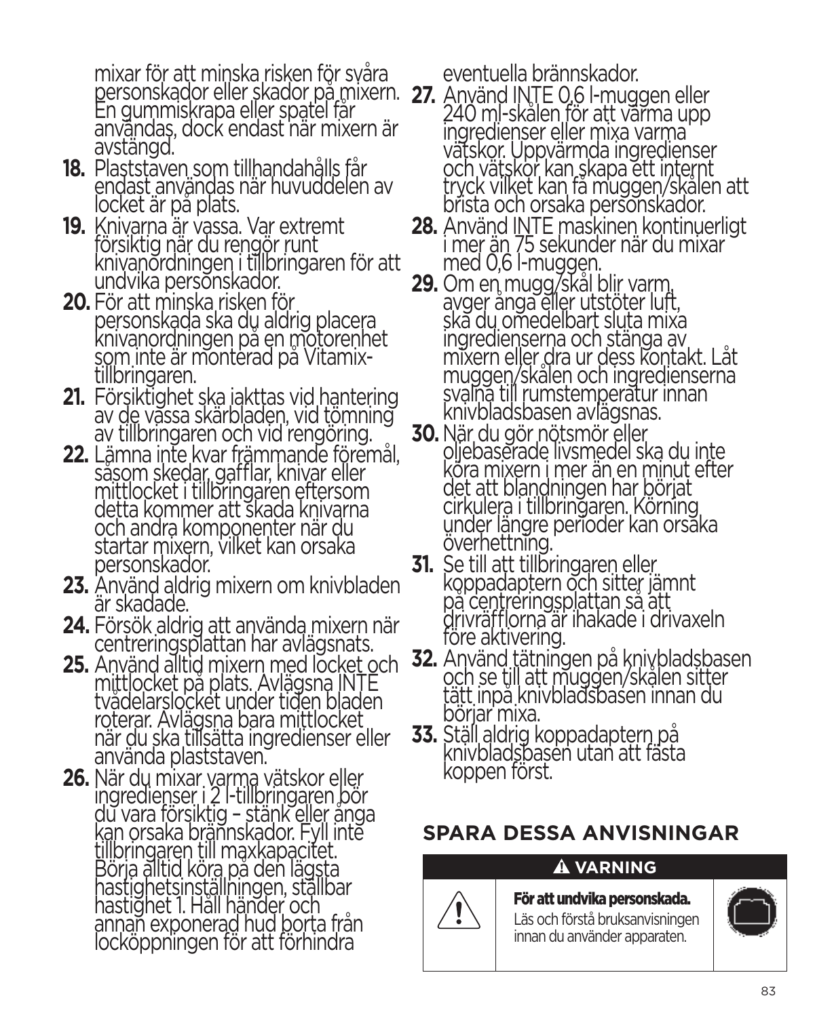mixar för att minska risken för svåra<br>personskador eller skador på mixern.<br>En gummiskrapa eller spatel får användas, dock endast när mixern är avstängd.

- **18.** Plaststaven som tillhandahålls får endast användas när huvuddelen av<br>locket är på plats.
- **19.** Knivarna är vassa. Var extremt försiktig när du rengör runt knivanordningen i tillbringaren för att undvika personskador.
- **20.** För att minska risken för personskada ska du aldrig placera<br>knivanordningen på en motorenhet<br>som inte är monterad på Vitamixtillbringaren.
- **21.** Försiktighet ska iakttas vid hantering av de vassa skärbladen, vid tömning av tillbringaren och vid rengöring.
- **22.** Lämna inte kvar främmande föremål, såsom skedar, gafflar, knivar eller mittlocket i tillbringaren eftersom detta kommer att skada knivarna och andra komponenter när du startar mixern, vilket kan orsaka personskador.
- **23.** Använd aldrig mixern om knivbladen är skadade.
- **24.** Försök aldrig att använda mixern när centreringsplattan har avlägsnats.<br>25. Använd alltid mixern med locket och
- **25.** Använd alltid mixern med locket och<br>mittlocket på plats. Avlägsna INTE<br>tvådelarslocket under tiden bladen roterar. Avlägsna bara mittlocket när du ska tillsätta ingredienser eller använda plaststaven.
- **26.** När du mixar varma vätskor eller ingredienser i 2 l-tillbringaren bör<br>du vara försiktig – stänk eller ånga kan orsaka brännskador. Fyll inte tillbringaren till maxkapacitet.<br>Börja alltid köra på den lägsta<br>hastighetsinställningen, ställbar hastighetsinställningen, ställbar<br>hastighet 1. Håll händer och<br>annan exponerad hud borta från locköppningen för att förhindra

eventuella brännskador.

- **27.** Använd INTE 0,6 l-muggen eller<br>240 ml-skålen för att värma upp ingredienser eller mixa varma vätskor. Uppvärmda ingredienser<br>och vätskor kan skapa ett internt tryck vilket kan få muggen/skålen att brista och orsaka personskador.
- **28.** Använd I<u>N</u>TE maskinen kontinuerligt i mer än 75 sekunder när du mixar med 0,6 l-muggen.
- **29.** Om en mugg/skål blir varm, avger ånga eller utstöter luft, ska du omedelbart sluta mixa<br>ingredienserna och stänga av ingredienserna och stanga av<br>mixern eller dra ur dess kontakt. Låt<br>muggen/skålen och ingredienserna svalna till rumstemperatur innan knivbladsbasen avlägsnas.
- **30.** När du gör nötsmör eller oljebaserade livsmedel ska du inte köra mixern i mer än en minut efter det att blandningen har börjat cirkulera i tillbringaren. Körning under längre perioder kan orsaka överhettning.
- **31.** Se till att tillbringaren eller<br>koppadaptern och sitter jämnt på centreringsplattan så att drivräfflorna är ihakade i drivaxeln före aktivering.
- **32.** Använd tätningen på knivbladsbasen<br>och se till att muggen/skålen sitter<br>tätt inpå knivbladsbasen innan du börjar mixa.
- **33.** Ställ aldrig koppadaptern på knivbladsbasen utan att fästa koppen först.

## **SPARA DESSA ANVISNINGAR**

## **A** VARNING

För att undvika personskada. Läs och förstå bruksanvisningen innan du använder apparaten.

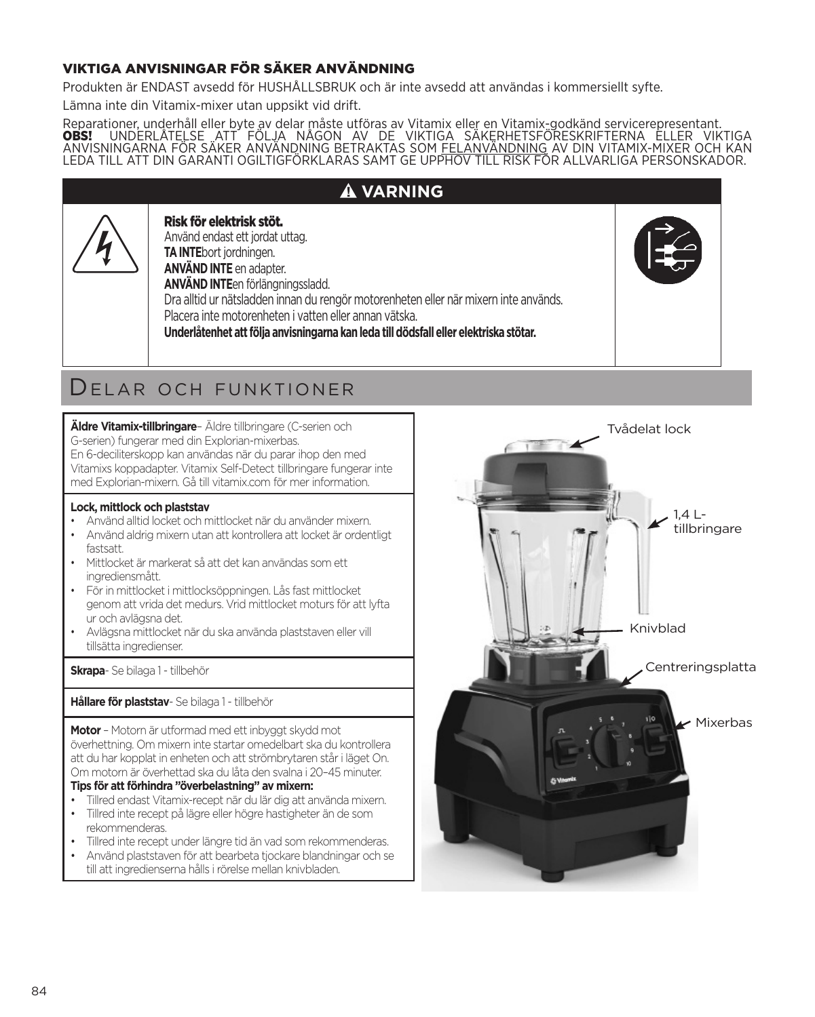### VIKTIGA ANVISNINGAR FÖR SÄKER ANVÄNDNING

Produkten är ENDAST avsedd för HUSHÅLLSBRUK och är inte avsedd att användas i kommersiellt syfte.

Lämna inte din Vitamix-mixer utan uppsikt vid drift.

Reparationer, underhåll eller byte av delar måste utföras av Vitamix eller en Vitamix-godkänd servicerepresentant.<br>**OBS!** UNDERLÅTELSE "ATT FÖLJA NÅGON AV DE VIKTIGA SÄKERHETSFÖRESKRIFTERNA ELLER VIKTIGA<br>ANVISNINGARNA FÖR LEDA TILL ATT DIN GARANTI OGILTIGFÖRKLARAS SAMT GE UPPHOV TILL RISK FÖR ALLVARLIGA PERSONSKADOR.

| Risk för elektrisk stöt.<br>Använd endast ett jordat uttag.<br><b>TA INTE</b> bort jordningen.<br><b>ANVÄND INTE en adapter.</b><br>ANVÄND INTEen förlängningssladd.<br>Dra alltid ur nätsladden innan du rengör motorenheten eller när mixern inte används.<br>Placera inte motorenheten i vatten eller annan vätska. | <b>A VARNING</b>                                                                      |  |
|------------------------------------------------------------------------------------------------------------------------------------------------------------------------------------------------------------------------------------------------------------------------------------------------------------------------|---------------------------------------------------------------------------------------|--|
|                                                                                                                                                                                                                                                                                                                        | Underlåtenhet att följa anvisningarna kan leda till dödsfall eller elektriska stötar. |  |

## Delar och funktioner

**Äldre Vitamix-tillbringare**– Äldre tillbringare (C-serien och G-serien) fungerar med din Explorian-mixerbas. En 6-deciliterskopp kan användas när du parar ihop den med Vitamixs koppadapter. Vitamix Self-Detect tillbringare fungerar inte med Explorian-mixern. Gå till vitamix.com för mer information.

### **Lock, mittlock och plaststav**

- Använd alltid locket och mittlocket när du använder mixern.
- Använd aldrig mixern utan att kontrollera att locket är ordentligt fastsatt.
- Mittlocket är markerat så att det kan användas som ett ingrediensmått.
- För in mittlocket i mittlocksöppningen. Lås fast mittlocket genom att vrida det medurs. Vrid mittlocket moturs för att lyfta ur och avlägsna det.
- Avlägsna mittlocket när du ska använda plaststaven eller vill tillsätta ingredienser.

**Skrapa**- Se bilaga 1 - tillbehör

**Hållare för plaststav**- Se bilaga 1 - tillbehör

**Motor** – Motorn är utformad med ett inbyggt skydd mot överhettning. Om mixern inte startar omedelbart ska du kontrollera att du har kopplat in enheten och att strömbrytaren står i läget On. Om motorn är överhettad ska du låta den svalna i 20–45 minuter. **Tips för att förhindra "överbelastning" av mixern:**

- Tillred endast Vitamix-recept när du lär dig att använda mixern.
- Tillred inte recept på lägre eller högre hastigheter än de som rekommenderas.
- Tillred inte recept under längre tid än vad som rekommenderas.
- Använd plaststaven för att bearbeta tjockare blandningar och se till att ingredienserna hålls i rörelse mellan knivbladen.

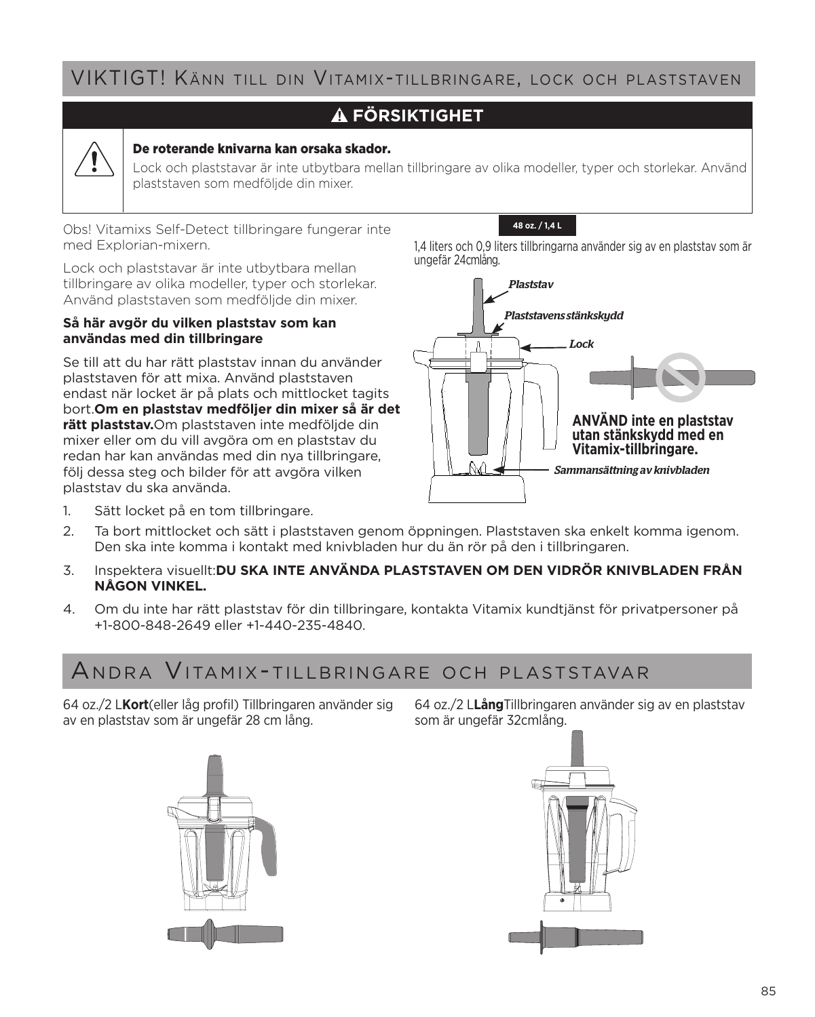## VIKTIGT! Känn till din Vitamix-tillbringare, lock och plaststaven

### **FÖRSIKTIGHET**



### De roterande knivarna kan orsaka skador.

Lock och plaststavar är inte utbytbara mellan tillbringare av olika modeller, typer och storlekar. Använd plaststaven som medföljde din mixer.

Obs! Vitamixs Self-Detect tillbringare fungerar inte med Explorian-mixern.

Lock och plaststavar är inte utbytbara mellan tillbringare av olika modeller, typer och storlekar. Använd plaststaven som medföljde din mixer.

### **Så här avgör du vilken plaststav som kan användas med din tillbringare**

Se till att du har rätt plaststav innan du använder plaststaven för att mixa. Använd plaststaven endast när locket är på plats och mittlocket tagits bort.**Om en plaststav medföljer din mixer så är det rätt plaststav.**Om plaststaven inte medföljde din mixer eller om du vill avgöra om en plaststav du redan har kan användas med din nya tillbringare, följ dessa steg och bilder för att avgöra vilken plaststav du ska använda.

**48 oz. / 1,4 L**

1,4 liters och 0,9 liters tillbringarna använder sig av en plaststav som är ungefär 24cmlång.



- 1. Sätt locket på en tom tillbringare.
- 2. Ta bort mittlocket och sätt i plaststaven genom öppningen. Plaststaven ska enkelt komma igenom. Den ska inte komma i kontakt med knivbladen hur du än rör på den i tillbringaren.
- 3. Inspektera visuellt:**DU SKA INTE ANVÄNDA PLASTSTAVEN OM DEN VIDRÖR KNIVBLADEN FRÅN NÅGON VINKEL.**
- 4. Om du inte har rätt plaststav för din tillbringare, kontakta Vitamix kundtjänst för privatpersoner på +1-800-848-2649 eller +1-440-235-4840.

## Andra Vitamix-tillbringare och plaststavar

64 oz./2 L**Kort**(eller låg profil) Tillbringaren använder sig av en plaststav som är ungefär 28 cm lång.

64 oz./2 L**Lång**Tillbringaren använder sig av en plaststav som är ungefär 32cmlång.



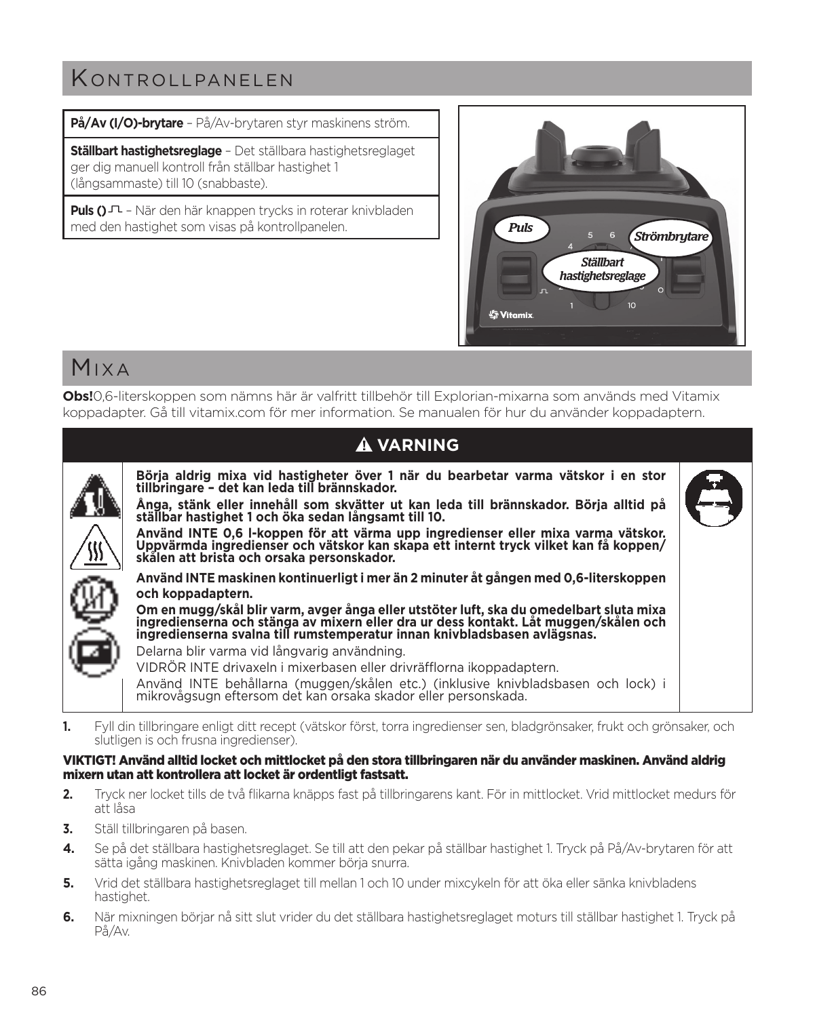## K ontrollpanelen

**På/Av (I/O)-brytare** – På/Av-brytaren styr maskinens ström.

**Ställbart hastighetsreglage** – Det ställbara hastighetsreglaget ger dig manuell kontroll från ställbar hastighet 1 (långsammaste) till 10 (snabbaste).

**Puls ()** – När den här knappen trycks in roterar knivbladen med den hastighet som visas på kontrollpanelen.



## Mixa

**Obs!**0,6-literskoppen som nämns här är valfritt tillbehör till Explorian-mixarna som används med Vitamix koppadapter. Gå till vitamix.com för mer information. Se manualen för hur du använder koppadaptern.

| <b>A VARNING</b>                                                                                                                                                                                                                                                                                                                                                                                                                                                                                                                                                                                                                                                                                                                                                                                                                                                                                                                                                                                                                                                                                                                                                            |  |
|-----------------------------------------------------------------------------------------------------------------------------------------------------------------------------------------------------------------------------------------------------------------------------------------------------------------------------------------------------------------------------------------------------------------------------------------------------------------------------------------------------------------------------------------------------------------------------------------------------------------------------------------------------------------------------------------------------------------------------------------------------------------------------------------------------------------------------------------------------------------------------------------------------------------------------------------------------------------------------------------------------------------------------------------------------------------------------------------------------------------------------------------------------------------------------|--|
| Börja aldrig mixa vid hastigheter över 1 när du bearbetar varma vätskor i en stor<br>tillbringare - det kan leda till brännskador.<br>Ånga, stänk eller innehåll som skvätter ut kan leda till brännskador. Börja alltid på<br>ställbar hastighet 1 och öka sedan långsamt till 10.<br>Använd INTE 0,6 I-koppen för att värma upp ingredienser eller mixa varma vätskor.<br>Uppvärmda ingredienser och vätskor kan skapa ett internt tryck vilket kan få koppen/<br>skålen att brista och orsaka personskador.<br>Använd INTE maskinen kontinuerligt i mer än 2 minuter åt gången med 0,6-literskoppen<br>och koppadaptern.<br>Om en mugg/skål blir varm, avger ånga eller utstöter luft, ska du omedelbart sluta mixa<br>ingredienserna och stänga av mixern eller dra ur dess kontakt. Låt muggen/skålen och<br>ingredienserna svalna till rumstemperatur innan knivbladsbasen avlägsnas.<br>Delarna blir varma vid långvarig användning.<br>VIDRÖR INTE drivaxeln i mixerbasen eller drivräfflorna ikoppadaptern.<br>Använd INTE behållarna (muggen/skålen etc.) (inklusive knivbladsbasen och lock) i<br>mikrovågsugn eftersom det kan orsaka skador eller personskada. |  |

**1.** Fyll din tillbringare enligt ditt recept (vätskor först, torra ingredienser sen, bladgrönsaker, frukt och grönsaker, och slutligen is och frusna ingredienser).

### VIKTIGT! Använd alltid locket och mittlocket på den stora tillbringaren när du använder maskinen. Använd aldrig mixern utan att kontrollera att locket är ordentligt fastsatt.

- **2.** Tryck ner locket tills de två flikarna knäpps fast på tillbringarens kant. För in mittlocket. Vrid mittlocket medurs för att låsa
- **3.** Ställ tillbringaren på basen.
- **4.** Se på det ställbara hastighetsreglaget. Se till att den pekar på ställbar hastighet 1. Tryck på På/Av-brytaren för att sätta igång maskinen. Knivbladen kommer börja snurra.
- **5.** Vrid det ställbara hastighetsreglaget till mellan 1 och 10 under mixcykeln för att öka eller sänka knivbladens hastighet.
- **6.** När mixningen börjar nå sitt slut vrider du det ställbara hastighetsreglaget moturs till ställbar hastighet 1. Tryck på På/Av.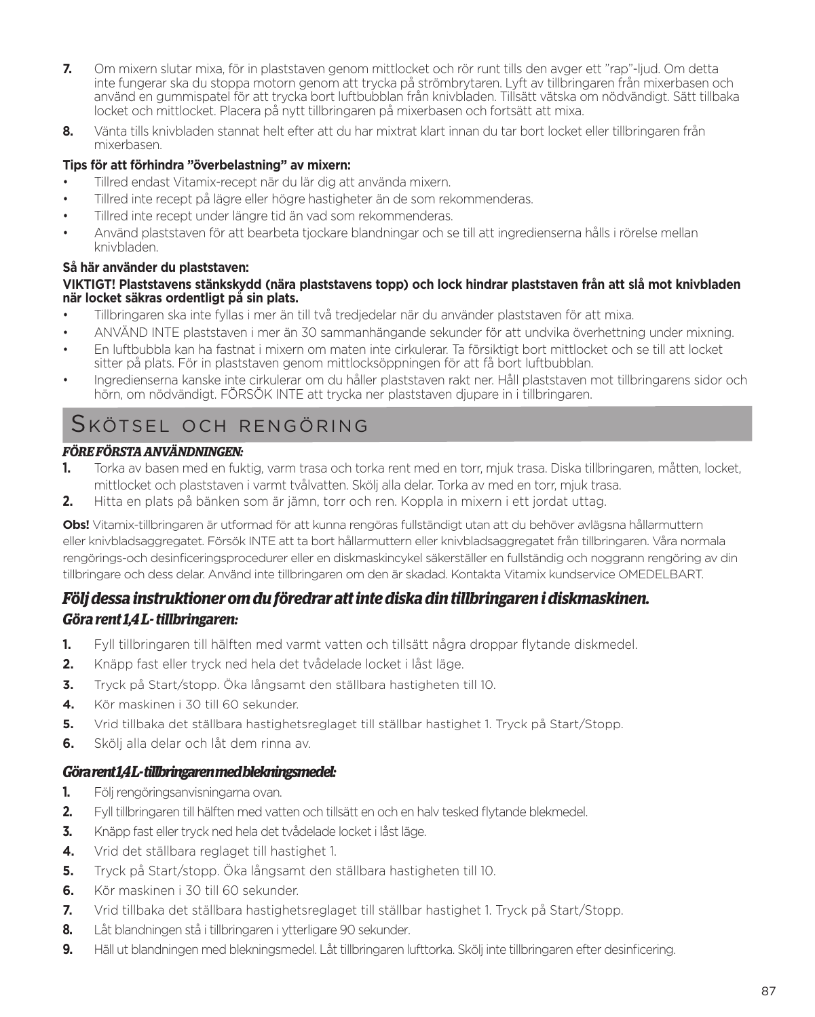- **7.** Om mixern slutar mixa, för in plaststaven genom mittlocket och rör runt tills den avger ett "rap"-ljud. Om detta inte fungerar ska du stoppa motorn genom att trycka på strömbrytaren. Lyft av tillbringaren från mixerbasen och använd en gummispatel för att trycka bort luftbubblan från knivbladen. Tillsätt vätska om nödvändigt. Sätt tillbaka locket och mittlocket. Placera på nytt tillbringaren på mixerbasen och fortsätt att mixa.
- **8.** Vänta tills knivbladen stannat helt efter att du har mixtrat klart innan du tar bort locket eller tillbringaren från mixerbasen.

### **Tips för att förhindra "överbelastning" av mixern:**

- Tillred endast Vitamix-recept när du lär dig att använda mixern.
- Tillred inte recept på lägre eller högre hastigheter än de som rekommenderas.
- Tillred inte recept under längre tid än vad som rekommenderas.
- Använd plaststaven för att bearbeta tjockare blandningar och se till att ingredienserna hålls i rörelse mellan knivbladen.

### **Så här använder du plaststaven:**

### **VIKTIGT! Plaststavens stänkskydd (nära plaststavens topp) och lock hindrar plaststaven från att slå mot knivbladen när locket säkras ordentligt på sin plats.**

- Tillbringaren ska inte fyllas i mer än till två tredjedelar när du använder plaststaven för att mixa.
- ANVÄND INTE plaststaven i mer än 30 sammanhängande sekunder för att undvika överhettning under mixning.
- En luftbubbla kan ha fastnat i mixern om maten inte cirkulerar. Ta försiktigt bort mittlocket och se till att locket sitter på plats. För in plaststaven genom mittlocksöppningen för att få bort luftbubblan.
- Ingredienserna kanske inte cirkulerar om du håller plaststaven rakt ner. Håll plaststaven mot tillbringarens sidor och hörn, om nödvändigt. FÖRSÖK INTE att trycka ner plaststaven djupare in i tillbringaren.

## Skötsel och rengöring

### *FÖRE FÖRSTA ANVÄNDNINGEN:*

- **1.** Torka av basen med en fuktig, varm trasa och torka rent med en torr, mjuk trasa. Diska tillbringaren, måtten, locket, mittlocket och plaststaven i varmt tvålvatten. Skölj alla delar. Torka av med en torr, mjuk trasa.
- **2.** Hitta en plats på bänken som är jämn, torr och ren. Koppla in mixern i ett jordat uttag.

**Obs!** Vitamix-tillbringaren är utformad för att kunna rengöras fullständigt utan att du behöver avlägsna hållarmuttern eller knivbladsaggregatet. Försök INTE att ta bort hållarmuttern eller knivbladsaggregatet från tillbringaren. Våra normala rengörings-och desinficeringsprocedurer eller en diskmaskincykel säkerställer en fullständig och noggrann rengöring av din tillbringare och dess delar. Använd inte tillbringaren om den är skadad. Kontakta Vitamix kundservice OMEDELBART.

### *Följ dessa instruktioner om du föredrar att inte diska din tillbringaren i diskmaskinen. Göra rent 1,4 L- tillbringaren:*

- **1.** Fyll tillbringaren till hälften med varmt vatten och tillsätt några droppar flytande diskmedel.
- **2.** Knäpp fast eller tryck ned hela det tvådelade locket i låst läge.
- **3.** Tryck på Start/stopp. Öka långsamt den ställbara hastigheten till 10.
- **4.** Kör maskinen i 30 till 60 sekunder.
- **5.** Vrid tillbaka det ställbara hastighetsreglaget till ställbar hastighet 1. Tryck på Start/Stopp.
- **6.** Skölj alla delar och låt dem rinna av.

### *Göra rent 1,4 L- tillbringaren med blekningsmedel:*

- **1.** Följ rengöringsanvisningarna ovan.
- **2.** Fyll tillbringaren till hälften med vatten och tillsätt en och en halv tesked flytande blekmedel.
- **3.** Knäpp fast eller tryck ned hela det tvådelade locket i låst läge.
- **4.** Vrid det ställbara reglaget till hastighet 1.
- **5.** Tryck på Start/stopp. Öka långsamt den ställbara hastigheten till 10.
- **6.** Kör maskinen i 30 till 60 sekunder.
- **7.** Vrid tillbaka det ställbara hastighetsreglaget till ställbar hastighet 1. Tryck på Start/Stopp.
- **8.** Låt blandningen stå i tillbringaren i ytterligare 90 sekunder.
- **9.** Häll ut blandningen med blekningsmedel. Låt tillbringaren lufttorka. Skölj inte tillbringaren efter desinficering.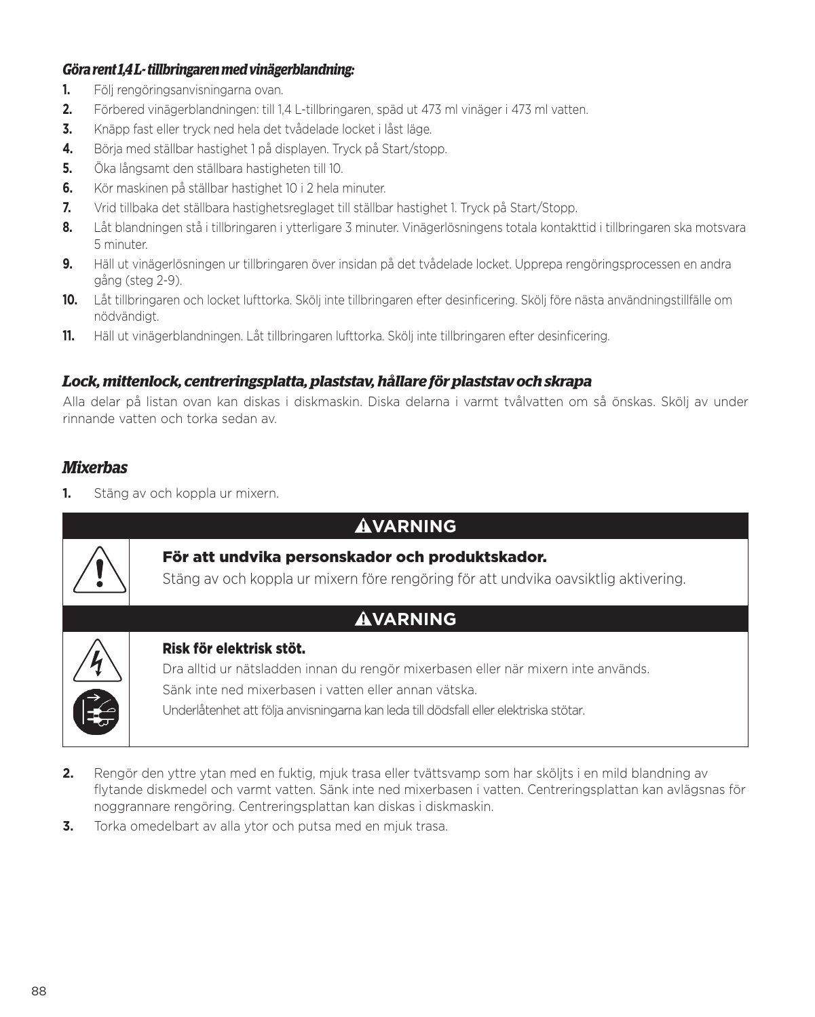### *Göra rent 1,4 L- tillbringaren med vinägerblandning:*

- **1.** Följ rengöringsanvisningarna ovan.
- **2.** Förbered vinägerblandningen: till 1,4 L-tillbringaren, späd ut 473 ml vinäger i 473 ml vatten.
- **3.** Knäpp fast eller tryck ned hela det tvådelade locket i låst läge.
- **4.** Börja med ställbar hastighet 1 på displayen. Tryck på Start/stopp.
- **5.** Öka långsamt den ställbara hastigheten till 10.
- **6.** Kör maskinen på ställbar hastighet 10 i 2 hela minuter.
- **7.** Vrid tillbaka det ställbara hastighetsreglaget till ställbar hastighet 1. Tryck på Start/Stopp.
- **8.** Låt blandningen stå i tillbringaren i ytterligare 3 minuter. Vinägerlösningens totala kontakttid i tillbringaren ska motsvara 5 minuter.
- **9.** Häll ut vinägerlösningen ur tillbringaren över insidan på det tvådelade locket. Upprepa rengöringsprocessen en andra gång (steg 2-9).
- **10.** Låt tillbringaren och locket lufttorka. Skölj inte tillbringaren efter desinficering. Skölj före nästa användningstillfälle om nödvändigt.
- **11.** Häll ut vinägerblandningen. Låt tillbringaren lufttorka. Skölj inte tillbringaren efter desinficering.

### *Lock, mittenlock, centreringsplatta, plaststav, hållare för plaststav och skrapa*

Alla delar på listan ovan kan diskas i diskmaskin. Diska delarna i varmt tvålvatten om så önskas. Skölj av under rinnande vatten och torka sedan av.

### *Mixerbas*

**1.** Stäng av och koppla ur mixern.

| <b>AVARNING</b>                                                                                                                                                                                                                                                  |
|------------------------------------------------------------------------------------------------------------------------------------------------------------------------------------------------------------------------------------------------------------------|
| För att undvika personskador och produktskador.<br>Stäng av och koppla ur mixern före rengöring för att undvika oavsiktlig aktivering.                                                                                                                           |
| <b>AVARNING</b>                                                                                                                                                                                                                                                  |
| Risk för elektrisk stöt.<br>Dra alltid ur nätsladden innan du rengör mixerbasen eller när mixern inte används.<br>Sänk inte ned mixerbasen i vatten eller annan vätska.<br>Underlåtenhet att följa anvisningarna kan leda till dödsfall eller elektriska stötar. |

- **2.** Rengör den yttre ytan med en fuktig, mjuk trasa eller tvättsvamp som har sköljts i en mild blandning av flytande diskmedel och varmt vatten. Sänk inte ned mixerbasen i vatten. Centreringsplattan kan avlägsnas för noggrannare rengöring. Centreringsplattan kan diskas i diskmaskin.
- **3.** Torka omedelbart av alla ytor och putsa med en mjuk trasa.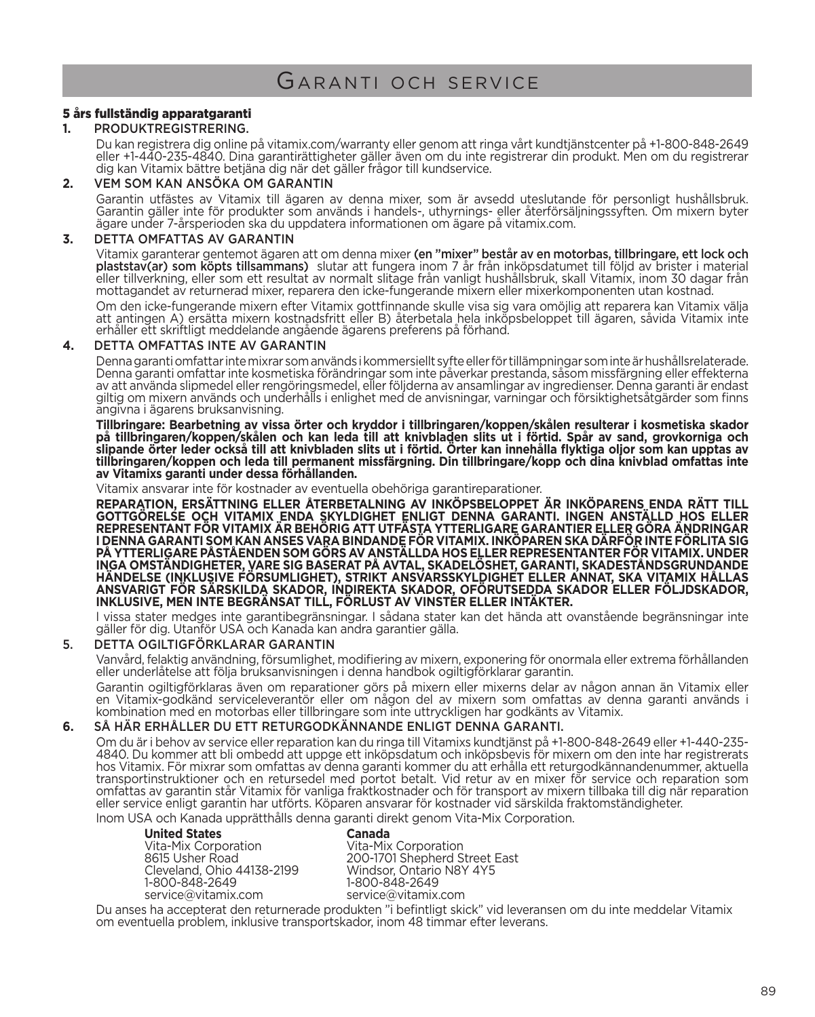### 5 års fullständig apparatgaranti

### **1.** PRODUKTREGISTRERING.

Du kan registrera dig online på vitamix.com/warranty eller genom att ringa vårt kundtjänstcenter på +1-800-848-2649 eller +1-440-235-4840. Dina garantirättigheter gäller även om du inte registrerar din produkt. Men om du registrerar dig kan Vitamix bättre betjäna dig när det gäller frågor till kundservice.

### **2.** VEM SOM KAN ANSÖKA OM GARANTIN

Garantin utfästes av Vitamix till ägaren av denna mixer, som är avsedd uteslutande för personligt hushållsbruk. Garantin gäller inte för produkter som används i handels-, uthyrnings- eller återförsäljningssyften. Om mixern byter ägare under 7-årsperioden ska du uppdatera informationen om ägare på vitamix.com.

#### **3.** DETTA OMFATTAS AV GARANTIN

Vitamix garanterar gentemot ägaren att om denna mixer (en "mixer" består av en motorbas, tillbringare, ett lock och<br>plaststav(ar) som köpts tillsammans) slutar att fungera inom 7 år från inköpsdatumet till följd av brister **plaststav(ar) som köpts tillsammans)** slutar att fungera inom 7 år från inköpsdatumet till följd av brister i material<br>eller tillverkning, eller som ett resultat av normalt slitage från vanligt hushållsbruk, skall Vitami

Om den icke-fungerande mixern efter Vitamix gottfinnande skulle visa sig vara omöjlig att reparera kan Vitamix välja att antingen A) ersätta mixern kostnadsfritt eller B) återbetala hela inköpsbeloppet till ägaren, såvida Vitamix inte erhåller ett skriftligt meddelande angående ägarens preferens på förhand.

### **4.** DETTA OMFATTAS INTE AV GARANTIN

Denna garanti omfattar inte mixrar som används i kommersiellt syfte eller för tillämpningar som inte är hushållsrelaterade. Denna garanti omfattar inte kosmetiska förändringar som inte päverkar prestanda, säsom missfärgning eller effekterna<br>av att använda slipmedel eller rengöringsmedel, eller följderna av ansamlingar av ingredienser. Denna gar angivna i ägarens bruksanvisning.

**Tillbringare: Bearbetning av vissa örter och kryddor i tillbringaren/koppen/skålen resulterar i kosmetiska skador på tillbringaren/koppen/skålen och kan leda till att knivbladen slits ut i förtid. Spår av sand, grovkorniga och slipande örter leder också till att knivbladen slits ut i förtid. Örter kan innehålla flyktiga oljor som kan upptas av tillbringaren/koppen och leda till permanent missfärgning. Din tillbringare/kopp och dina knivblad omfattas inte av Vitamixs garanti under dessa förhållanden.**

Vitamix ansvarar inte för kostnader av eventuella obehöriga garantireparationer.

**REPARATION, ERSÄTTNING ELLER ÅTERBETALNING AV INKÖPSBELOPPET ÄR INKÖPARENS ENDA RÄTT TILL**  GOTTGORELSE OCH VITAMIX ENDA SKYLDIGHET ENLIGT DENNA GARANTI. INGEN ANSTALLD HOS ELLER<br>REPRESENTANT FÖR VITAMIX ÄR BEHÖRIG ATT UTFÄSTA YTTERLIGARE GARANTIER ELLER GÖRA ÄNDRINGAR<br>I DENNA GARANTI SOM KAN ANSES VARA BINDANDE PA YTTERLIGARE PASTAENDEN SOM GORS AV ANSTALLDA HOS ELLER REPRESENTANTER FOR VITAMIX. UNDER<br>INGA OMSTÄNDIGHETER, VARE SIG BASERAT PÅ AVTAL, SKADELÖSHET, GARANTI, SKADESTÅNDSGRUNDANDE<br>HÄNDELSE (INKLUSIVE FÖRSUMLIGHET), STRI ANSVARIGT FOR SARSKILDA SKADOR, INDIREKTA SKADOR, OFORUTSEDDA SKADOR ELLER FOLJDSKADOR,<br>INKLUSIVE, MEN INTE BEGRÄNSAT TILL, FÖRLUST AV VINSTER ELLER INTÄKTER.

I vissa stater medges inte garantibegränsningar. I sådana stater kan det hända att ovanstående begränsningar inte<br>gäller för dig. Utanför USA och Kanada kan andra garantier gälla.

### 5. DETTA OGILTIGFÖRKLARAR GARANTIN

Vanvård, felaktig användning, försumlighet, modifiering av mixern, exponering för onormala eller extrema förhållanden eller underlåtelse att följa bruksanvisningen i denna handbok ogiltigförklarar garantin.

Garantin ogiltigförklaras även om reparationer görs på mixern eller mixerns delar av någon annan än Vitamix eller en Vitamix-godkänd serviceleverantör eller om någon del av mixern som omfattas av denna garanti används i kombination med en motorbas eller tillbringare som inte uttryckligen har godkänts av Vitamix.

### **6.** SÅ HÄR ERHÅLLER DU ETT RETURGODKÄNNANDE ENLIGT DENNA GARANTI.

Om du är i behov av service eller reparation kan du ringa till Vitamixs kundtjänst på +1-800-848-2649 eller +1-440-235-<br>4840. Du kommer att bli ombedd att uppge ett inköpsdatum och inköpsbevis för mixern om den inte har re hos Vitamix. För mixrar som omfattas av denna garanti kommer du att erhålla ett returgodkännandenummer, aktuella transportinstruktioner och en retursedel med portot betalt. Vid retur av en mixer för service och reparation som omfattas av garantin står Vitamix för vanliga fraktkostnader och för transport av mixern tillbaka till dig när reparation eller service enligt garantin har utförts. Köparen ansvarar för kostnader vid särskilda fraktomständigheter. Inom USA och Kanada upprätthålls denna garanti direkt genom Vita-Mix Corporation.

**United States Canada** Vita-Mix Corporation<br>
8615 Usher Road<br>
200-1701 Shepherd S Cleveland, Ohio 44138-2199<br>1-800-848-2649 1-800-848-2649 1-800-848-2649

200-1701 Shepherd Street East<br>Windsor, Ontario N8Y 4Y5 service@vitamix.com

Du anses ha accepterat den returnerade produkten "i befintligt skick" vid leveransen om du inte meddelar Vitamix om eventuella problem, inklusive transportskador, inom 48 timmar efter leverans.